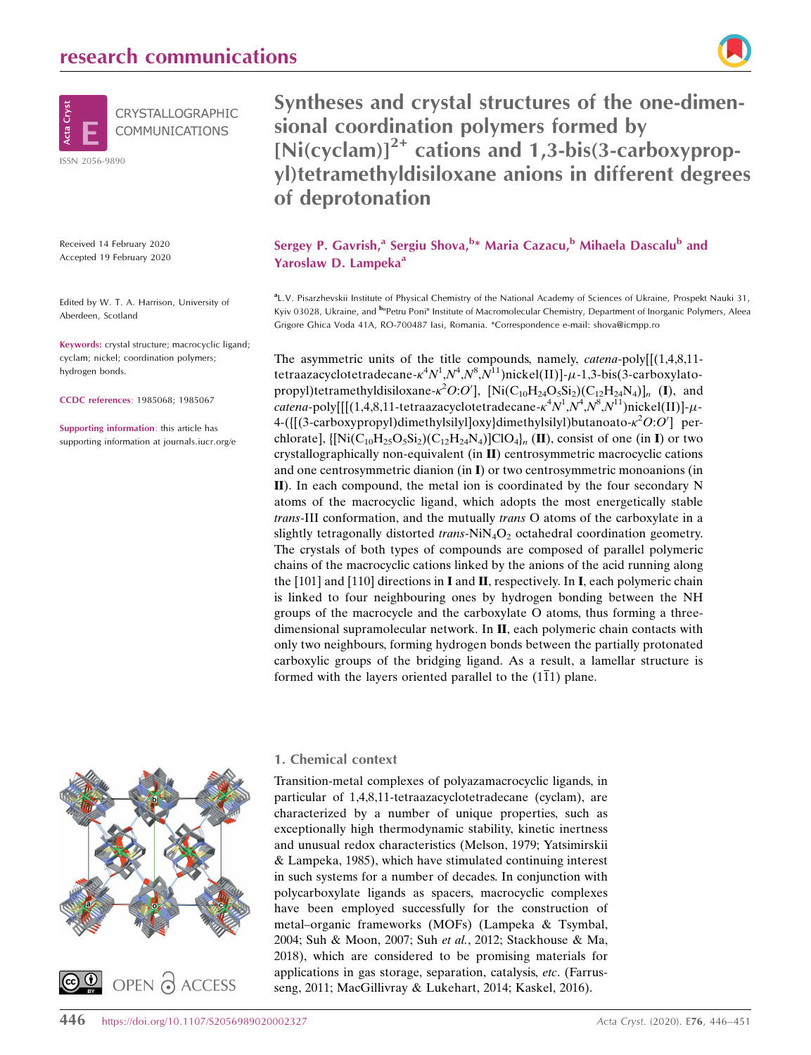

Received 14 February 2020 Accepted 19 February 2020

Edited by W. T. A. Harrison, University of Aberdeen, Scotland

Keywords: crystal structure; macrocyclic ligand; cyclam; nickel; coordination polymers; hydrogen bonds.

CCDC references: 1985068; 1985067

Supporting information: this article has supporting information at journals.iucr.org/e

# Syntheses and crystal structures of the one-dimensional coordination polymers formed by  $[Ni(cyclam)]^{2+}$  cations and 1,3-bis(3-carboxypropyl)tetramethyldisiloxane anions in different degrees of deprotonation

Sergey P. Gavrish,<sup>a</sup> Sergiu Shova,<sup>b</sup>\* Maria Cazacu,<sup>b</sup> Mihaela Dascalu<sup>b</sup> and Yaroslaw D. Lampeka<sup>a</sup>

a L.V. Pisarzhevskii Institute of Physical Chemistry of the National Academy of Sciences of Ukraine, Prospekt Nauki 31, Kyiv 03028, Ukraine, and <sup>b</sup><sup>in</sup>Petru Poni<sup>n</sup> Institute of Macromolecular Chemistry, Department of Inorganic Polymers, Aleea Grigore Ghica Voda 41A, RO-700487 Iasi, Romania. \*Correspondence e-mail: shova@icmpp.ro

The asymmetric units of the title compounds, namely, *catena-poly* $[(1,4,8,11$ tetraazacyclotetradecane- $\kappa^4 N^1 \mathcal{N}^4 \mathcal{N}^8 \mathcal{N}^{11}$ )nickel(II)]- $\mu$ -1,3-bis(3-carboxylatopropyl)tetramethyldisiloxane- $\kappa^2 O O O'$ , [Ni $(C_{10}H_{24}O_5Si_2)(C_{12}H_{24}N_4)$ ]<sub>n</sub> (I), and catena-poly[[[(1,4,8,11-tetraazacyclotetradecane- $\kappa^4 N^1 \cdot N^4 \cdot N^8 \cdot N^{11}$ )nickel(II)]- $\mu$ - $4-(\left[ (3\text{-carboxy} \text{propyl})$ dimethylsilyl]oxy}dimethylsilyl)butanoato- $\kappa^2O:O'$ ] perchlorate],  $\{[Ni(C_{10}H_{25}O_5Si_2)(C_{12}H_{24}N_4)]ClO_4\}$  (II), consist of one (in I) or two crystallographically non-equivalent (in II) centrosymmetric macrocyclic cations and one centrosymmetric dianion (in I) or two centrosymmetric monoanions (in II). In each compound, the metal ion is coordinated by the four secondary N atoms of the macrocyclic ligand, which adopts the most energetically stable trans-III conformation, and the mutually trans O atoms of the carboxylate in a slightly tetragonally distorted *trans*-NiN<sub>4</sub>O<sub>2</sub> octahedral coordination geometry. The crystals of both types of compounds are composed of parallel polymeric chains of the macrocyclic cations linked by the anions of the acid running along the [101] and [110] directions in I and II, respectively. In I, each polymeric chain is linked to four neighbouring ones by hydrogen bonding between the NH groups of the macrocycle and the carboxylate O atoms, thus forming a threedimensional supramolecular network. In II, each polymeric chain contacts with only two neighbours, forming hydrogen bonds between the partially protonated carboxylic groups of the bridging ligand. As a result, a lamellar structure is formed with the layers oriented parallel to the  $(1\overline{1}1)$  plane.



## 1. Chemical context

Transition-metal complexes of polyazamacrocyclic ligands, in particular of 1,4,8,11-tetraazacyclotetradecane (cyclam), are characterized by a number of unique properties, such as exceptionally high thermodynamic stability, kinetic inertness and unusual redox characteristics (Melson, 1979; Yatsimirskii & Lampeka, 1985), which have stimulated continuing interest in such systems for a number of decades. In conjunction with polycarboxylate ligands as spacers, macrocyclic complexes have been employed successfully for the construction of metal–organic frameworks (MOFs) (Lampeka & Tsymbal, 2004; Suh & Moon, 2007; Suh et al., 2012; Stackhouse & Ma, 2018), which are considered to be promising materials for applications in gas storage, separation, catalysis, etc. (Farrusseng, 2011; MacGillivray & Lukehart, 2014; Kaskel, 2016).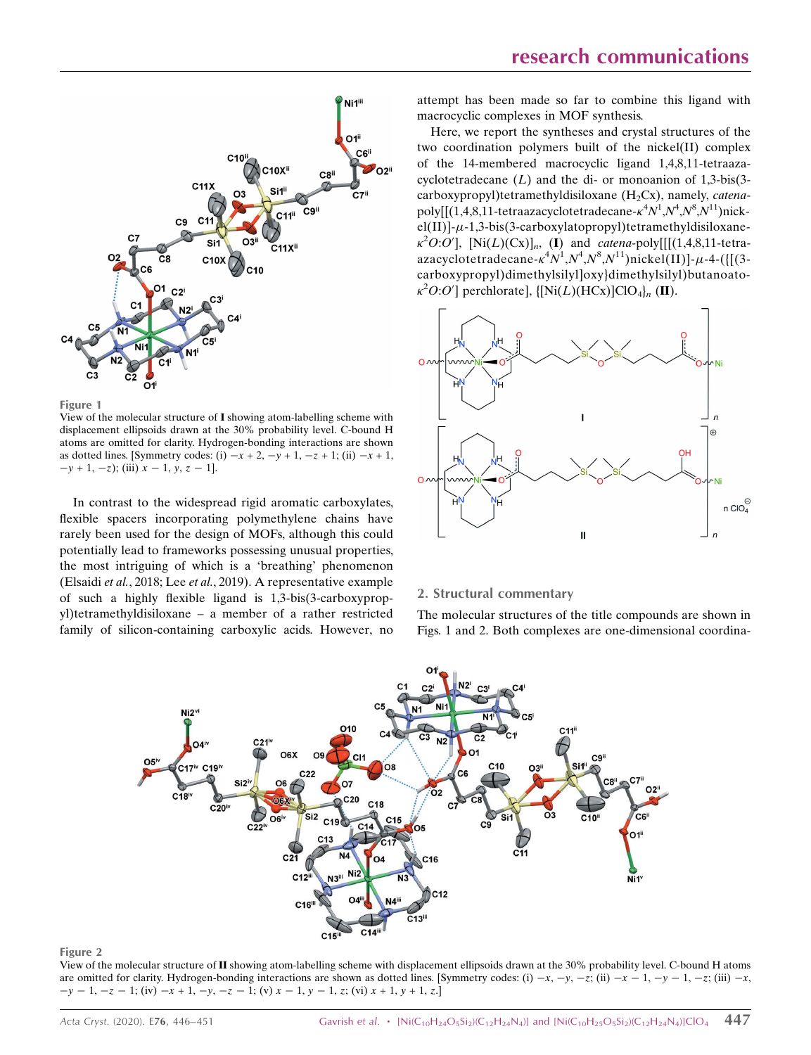

Figure 1

View of the molecular structure of I showing atom-labelling scheme with displacement ellipsoids drawn at the 30% probability level. C-bound H atoms are omitted for clarity. Hydrogen-bonding interactions are shown as dotted lines. [Symmetry codes: (i)  $-x + 2$ ,  $-y + 1$ ,  $-z + 1$ ; (ii)  $-x + 1$ ,  $-y + 1, -z$ ); (iii)  $x - 1, y, z - 1$ ].

In contrast to the widespread rigid aromatic carboxylates, flexible spacers incorporating polymethylene chains have rarely been used for the design of MOFs, although this could potentially lead to frameworks possessing unusual properties, the most intriguing of which is a 'breathing' phenomenon (Elsaidi et al., 2018; Lee et al., 2019). A representative example of such a highly flexible ligand is 1,3-bis(3-carboxypropyl)tetramethyldisiloxane – a member of a rather restricted family of silicon-containing carboxylic acids. However, no

attempt has been made so far to combine this ligand with macrocyclic complexes in MOF synthesis.

Here, we report the syntheses and crystal structures of the two coordination polymers built of the nickel(II) complex of the 14-membered macrocyclic ligand 1,4,8,11-tetraazacyclotetradecane  $(L)$  and the di- or monoanion of 1.3-bis(3carboxypropyl)tetramethyldisiloxane  $(H_2Cx)$ , namely, *catena*poly[[(1,4,8,11-tetraazacyclotetradecane- $\kappa^4 N^1$ , $N^4$ , $N^8$ , $N^{11}$ )nick $el(II)$ ]- $\mu$ -1,3-bis(3-carboxylatopropyl)tetramethyldisiloxane- $\kappa^2 O:O'$ ], [Ni(L)(Cx)]<sub>n</sub>, (I) and *catena*-poly[[[(1,4,8,11-tetraazacyclotetradecane- $\kappa^4 N^1$ , $N^4$ , $N^8$ , $N^{11}$ )nickel(II)]- $\mu$ -4-({[(3carboxypropyl)dimethylsilyl]oxy}dimethylsilyl)butanoato-  $\kappa^2 O O O'$ ] perchlorate], {[Ni(L)(HCx)]ClO<sub>4</sub>}<sub>n</sub> (II).



### 2. Structural commentary

The molecular structures of the title compounds are shown in Figs. 1 and 2. Both complexes are one-dimensional coordina-



#### Figure 2

View of the molecular structure of II showing atom-labelling scheme with displacement ellipsoids drawn at the 30% probability level. C-bound H atoms are omitted for clarity. Hydrogen-bonding interactions are shown as dotted lines. [Symmetry codes: (i)  $-x$ ,  $-y$ ,  $-z$ ; (ii)  $-x$ ,  $y - 1$ ,  $-z$ ; (iii)  $-x$ ,  $z$ , iii)  $-x$ ,  $-y-1$ ,  $-z-1$ ; (iv)  $-x+1$ ,  $-y$ ,  $-z-1$ ; (v)  $x-1$ ,  $y-1$ , z; (vi)  $x+1$ ,  $y+1$ , z.]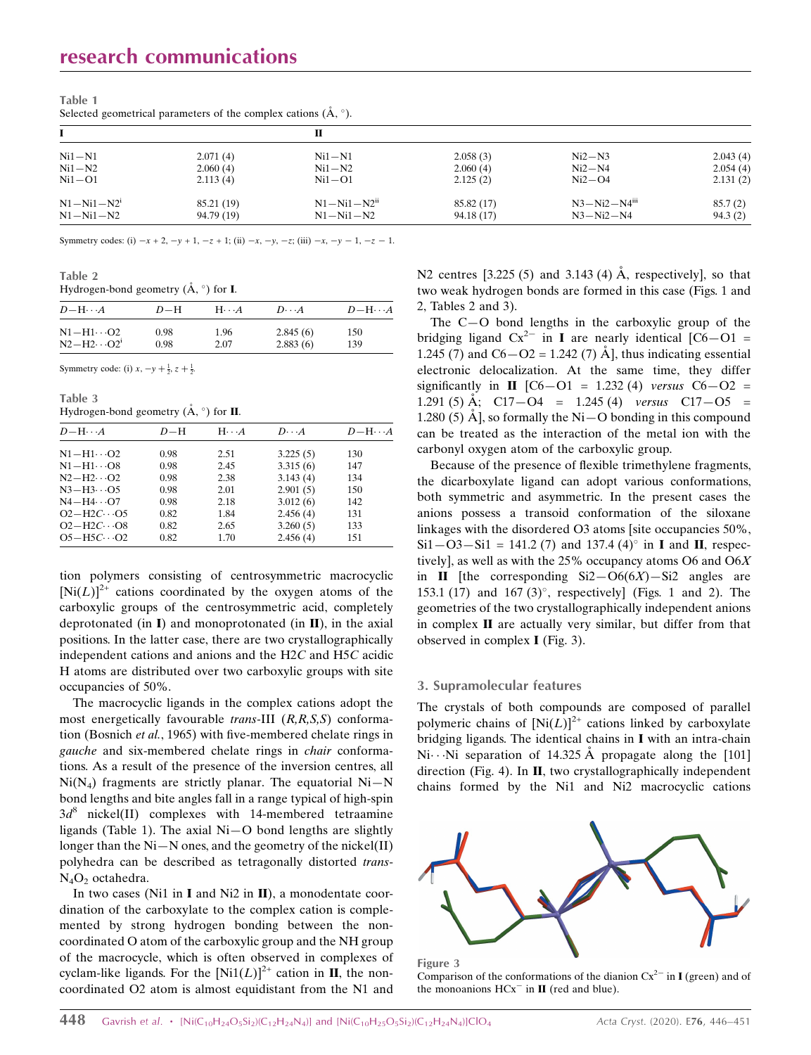| $Ni1-N1$         | 2.071(4)   | $Ni1-N1$                      | 2.058(3)   | $Ni2-N3$                       | 2.043(4) |
|------------------|------------|-------------------------------|------------|--------------------------------|----------|
| $Ni1-N2$         | 2.060(4)   | $Ni1-N2$                      | 2.060(4)   | $Ni2-N4$                       | 2.054(4) |
| $Ni1-O1$         | 2.113(4)   | $Ni1-O1$                      | 2.125(2)   | $Ni2-O4$                       | 2.131(2) |
| $N1 - Ni1 - N2i$ | 85.21 (19) | $N1 - Ni1 - N2$ <sup>ii</sup> | 85.82 (17) | $N3 - Ni2 - N4$ <sup>iii</sup> | 85.7(2)  |
| $N1 - N11 - N2$  | 94.79 (19) | $N1 - Ni1 - N2$               | 94.18(17)  | $N3 - Ni2 - N4$                | 94.3(2)  |

Table 1 Selected geometrical parameters of the complex cations  $(\mathring{A}, \circ)$ .

Symmetry codes: (i)  $-x + 2$ ,  $-y + 1$ ,  $-z + 1$ ; (ii)  $-x$ ,  $-y$ ,  $-z$ ; (iii)  $-x$ ,  $-y - 1$ ,  $-z - 1$ .

Table 2

## Hydrogen-bond geometry  $(\mathring{A}, \circ)$  for **I**.

| $D$ -H $\cdots$ A                         | $D-H$        | $H\cdots A$  | $D\cdot\cdot\cdot A$ | $D-H\cdots A$ |
|-------------------------------------------|--------------|--------------|----------------------|---------------|
| $N1 - H1 \cdots 02$<br>$N2-H2\cdots O2^1$ | 0.98<br>0.98 | 1.96<br>2.07 | 2.845(6)<br>2.883(6) | 150<br>139    |
|                                           |              |              |                      |               |

Symmetry code: (i)  $x, -y + \frac{1}{2}, z + \frac{1}{2}$ .

Table 3 Hydrogen-bond geometry  $(\mathring{A}, \degree)$  for **II**.

| $D-\mathrm{H}\cdots A$         | $D-H$ | $H \cdot \cdot \cdot A$ | $D\cdot\cdot\cdot A$ | $D - H \cdots A$ |
|--------------------------------|-------|-------------------------|----------------------|------------------|
| $N1 - H1 \cdot \cdot \cdot O2$ | 0.98  | 2.51                    | 3.225(5)             | 130              |
| $N1 - H1 \cdots 08$            | 0.98  | 2.45                    | 3.315(6)             | 147              |
| $N2-H2\cdots O2$               | 0.98  | 2.38                    | 3.143(4)             | 134              |
| $N3-H3\cdots$ O5               | 0.98  | 2.01                    | 2.901(5)             | 150              |
| $N4-H4\cdots$ O7               | 0.98  | 2.18                    | 3.012(6)             | 142              |
| $O2-H2C \cdot O5$              | 0.82  | 1.84                    | 2.456(4)             | 131              |
| $O2-H2C \cdot O8$              | 0.82  | 2.65                    | 3.260(5)             | 133              |
| $O5-H5C\cdots O2$              | 0.82  | 1.70                    | 2.456(4)             | 151              |

tion polymers consisting of centrosymmetric macrocyclic  $[Ni(L)]^{2+}$  cations coordinated by the oxygen atoms of the carboxylic groups of the centrosymmetric acid, completely deprotonated (in  $\mathbf{I}$ ) and monoprotonated (in  $\mathbf{II}$ ), in the axial positions. In the latter case, there are two crystallographically independent cations and anions and the H2C and H5C acidic H atoms are distributed over two carboxylic groups with site occupancies of 50%.

The macrocyclic ligands in the complex cations adopt the most energetically favourable *trans*-III  $(R, R, S, S)$  conformation (Bosnich et al., 1965) with five-membered chelate rings in gauche and six-membered chelate rings in chair conformations. As a result of the presence of the inversion centres, all  $Ni(N<sub>4</sub>)$  fragments are strictly planar. The equatorial  $Ni-N$ bond lengths and bite angles fall in a range typical of high-spin  $3d^8$  nickel(II) complexes with 14-membered tetraamine ligands (Table 1). The axial Ni—O bond lengths are slightly longer than the Ni—N ones, and the geometry of the nickel(II) polyhedra can be described as tetragonally distorted trans- $N_4O_2$  octahedra.

In two cases (Ni1 in I and Ni2 in II), a monodentate coordination of the carboxylate to the complex cation is complemented by strong hydrogen bonding between the noncoordinated O atom of the carboxylic group and the NH group of the macrocycle, which is often observed in complexes of cyclam-like ligands. For the  $[Ni1(L)]^{2+}$  cation in **II**, the noncoordinated O2 atom is almost equidistant from the N1 and N2 centres  $[3.225 (5)$  and 3.143 (4)  $\AA$ , respectively], so that two weak hydrogen bonds are formed in this case (Figs. 1 and 2, Tables 2 and 3).

The C—O bond lengths in the carboxylic group of the bridging ligand  $Cx^{2-}$  in **I** are nearly identical  $[C6-O1]$  = 1.245 (7) and  $C6 - O2 = 1.242$  (7) Å], thus indicating essential electronic delocalization. At the same time, they differ significantly in  $\Pi$  [C6-O1 = 1.232 (4) versus C6-O2 = 1.291 (5) Å;  $C17-O4 = 1.245(4)$  versus  $C17-O5 =$ 1.280 (5)  $\AA$ , so formally the Ni – O bonding in this compound can be treated as the interaction of the metal ion with the carbonyl oxygen atom of the carboxylic group.

Because of the presence of flexible trimethylene fragments, the dicarboxylate ligand can adopt various conformations, both symmetric and asymmetric. In the present cases the anions possess a transoid conformation of the siloxane linkages with the disordered O3 atoms [site occupancies 50%,  $Si1 - O3 - Si1 = 141.2$  (7) and 137.4 (4)<sup>o</sup> in **I** and **II**, respectively], as well as with the 25% occupancy atoms O6 and O6X in II [the corresponding  $Si2-O6(6X) - Si2$  angles are 153.1 (17) and 167 (3) $^{\circ}$ , respectively] (Figs. 1 and 2). The geometries of the two crystallographically independent anions in complex II are actually very similar, but differ from that observed in complex I (Fig. 3).

### 3. Supramolecular features

The crystals of both compounds are composed of parallel polymeric chains of  $[Ni(L)]^{2+}$  cations linked by carboxylate bridging ligands. The identical chains in I with an intra-chain Ni $\cdots$ Ni separation of 14.325 Å propagate along the [101] direction (Fig. 4). In II, two crystallographically independent chains formed by the Ni1 and Ni2 macrocyclic cations



Figure 3 Comparison of the conformations of the dianion  $Cx^{2-}$  in **I** (green) and of the monoanions  $HCx^-$  in  $II$  (red and blue).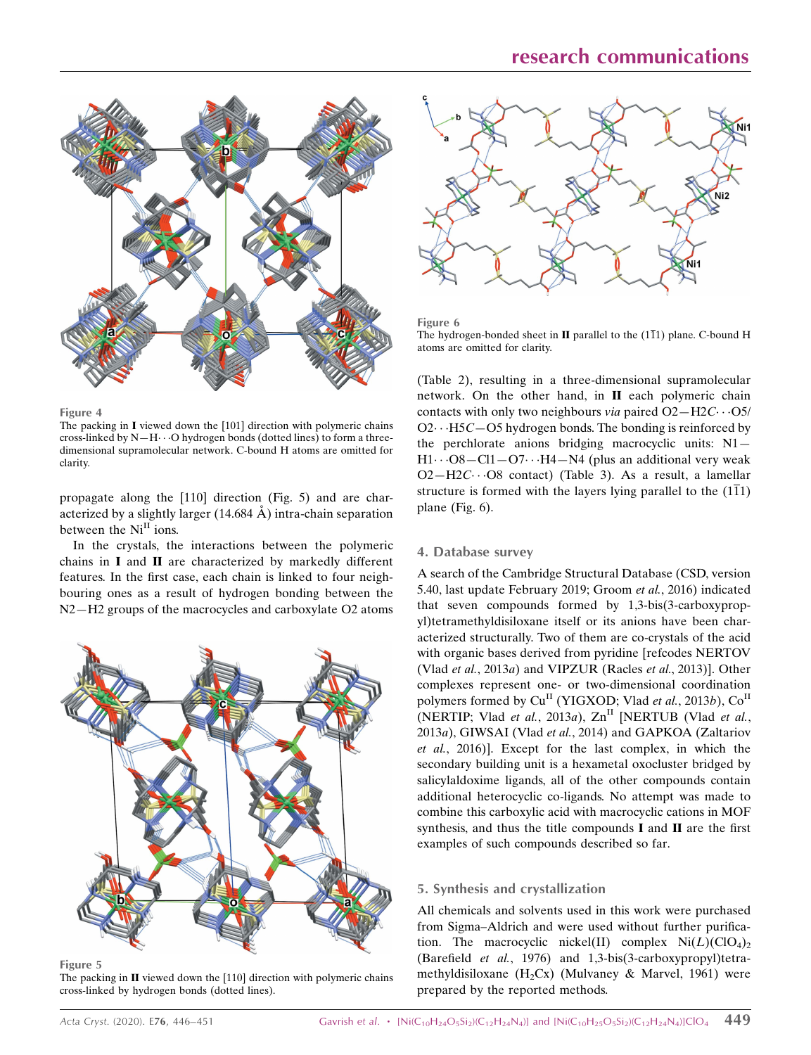

Figure 4

The packing in I viewed down the [101] direction with polymeric chains cross-linked by  $N-H\cdots O$  hydrogen bonds (dotted lines) to form a threedimensional supramolecular network. C-bound H atoms are omitted for clarity.

propagate along the [110] direction (Fig. 5) and are characterized by a slightly larger  $(14.684 \text{ Å})$  intra-chain separation between the Ni<sup>II</sup> ions.

In the crystals, the interactions between the polymeric chains in I and II are characterized by markedly different features. In the first case, each chain is linked to four neighbouring ones as a result of hydrogen bonding between the N2—H2 groups of the macrocycles and carboxylate O2 atoms



Figure 5

The packing in  $II$  viewed down the [110] direction with polymeric chains cross-linked by hydrogen bonds (dotted lines).



Figure 6 The hydrogen-bonded sheet in **II** parallel to the  $(1\overline{1}1)$  plane. C-bound H atoms are omitted for clarity.

(Table 2), resulting in a three-dimensional supramolecular network. On the other hand, in II each polymeric chain contacts with only two neighbours via paired  $O2 - H2C \cdots O5/$  $O2 \cdot \cdot \cdot H5C - O5$  hydrogen bonds. The bonding is reinforced by the perchlorate anions bridging macrocyclic units: N1—  $H1\cdots$ O8—Cl1—O7 $\cdots$ H4—N4 (plus an additional very weak  $O2-H2C\cdots O8$  contact) (Table 3). As a result, a lamellar structure is formed with the layers lying parallel to the  $(1\overline{1}1)$ plane (Fig. 6).

## 4. Database survey

A search of the Cambridge Structural Database (CSD, version 5.40, last update February 2019; Groom et al., 2016) indicated that seven compounds formed by 1,3-bis(3-carboxypropyl)tetramethyldisiloxane itself or its anions have been characterized structurally. Two of them are co-crystals of the acid with organic bases derived from pyridine [refcodes NERTOV (Vlad et al., 2013a) and VIPZUR (Racles et al., 2013)]. Other complexes represent one- or two-dimensional coordination polymers formed by  $Cu<sup>H</sup>$  (YIGXOD; Vlad *et al.*, 2013*b*),  $Co<sup>H</sup>$ (NERTIP; Vlad et al., 2013a),  $\text{Zn}^{\text{II}}$  [NERTUB (Vlad et al., 2013a), GIWSAI (Vlad et al., 2014) and GAPKOA (Zaltariov et al., 2016)]. Except for the last complex, in which the secondary building unit is a hexametal oxocluster bridged by salicylaldoxime ligands, all of the other compounds contain additional heterocyclic co-ligands. No attempt was made to combine this carboxylic acid with macrocyclic cations in MOF synthesis, and thus the title compounds I and II are the first examples of such compounds described so far.

## 5. Synthesis and crystallization

All chemicals and solvents used in this work were purchased from Sigma–Aldrich and were used without further purification. The macrocyclic nickel(II) complex  $Ni(L)(ClO<sub>4</sub>)<sub>2</sub>$ (Barefield et al., 1976) and 1,3-bis(3-carboxypropyl)tetramethyldisiloxane (H<sub>2</sub>Cx) (Mulvaney & Marvel, 1961) were prepared by the reported methods.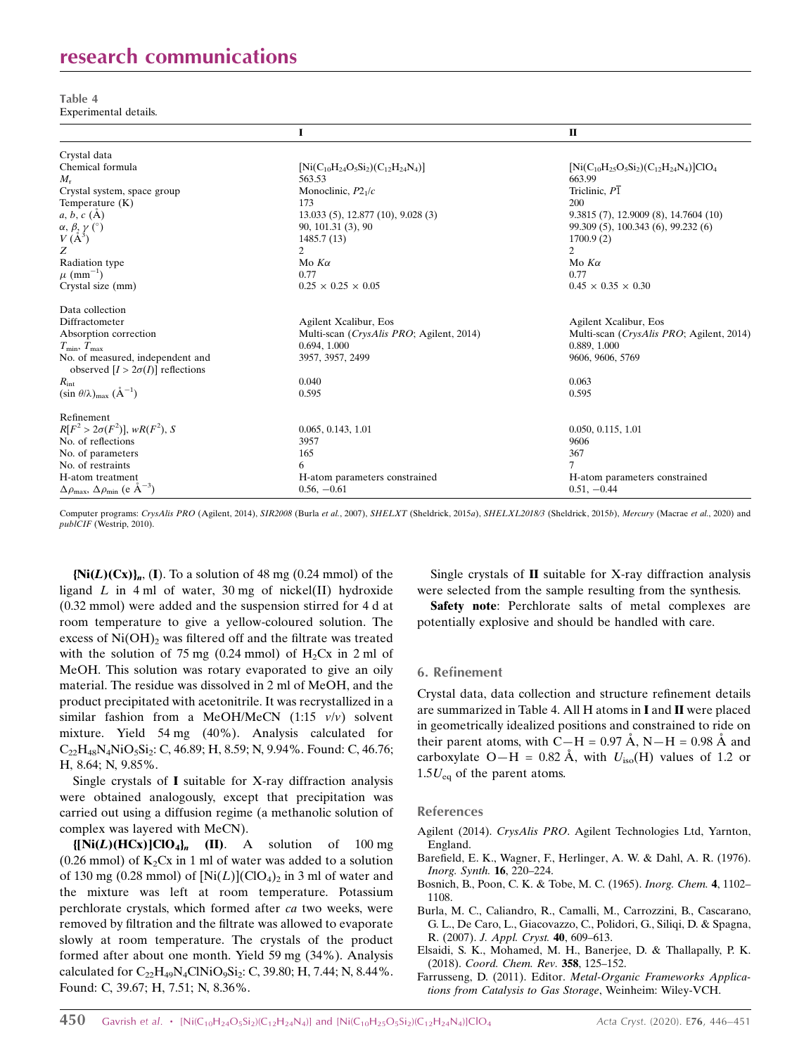# research communications

Table 4 Experimental details.

|                                                                              | I                                            | $\mathbf{I}$                                      |
|------------------------------------------------------------------------------|----------------------------------------------|---------------------------------------------------|
| Crystal data                                                                 |                                              |                                                   |
| Chemical formula                                                             | $[Ni(C_{10}H_{24}O_5Si_2)(C_{12}H_{24}N_4)]$ | $[Ni(C_{10}H_{25}O_5Si_2)(C_{12}H_{24}N_4)]ClO_4$ |
| $M_{\rm r}$                                                                  | 563.53                                       | 663.99                                            |
| Crystal system, space group                                                  | Monoclinic, $P21/c$                          | Triclinic, P1                                     |
| Temperature (K)                                                              | 173                                          | 200                                               |
| $a, b, c$ (A)                                                                | 13.033 (5), 12.877 (10), 9.028 (3)           | 9.3815(7), 12.9009(8), 14.7604(10)                |
| $\alpha, \beta, \gamma$ (°)                                                  | 90, 101.31 (3), 90                           | 99.309 (5), 100.343 (6), 99.232 (6)               |
| $V(A^3)$                                                                     | 1485.7 (13)                                  | 1700.9(2)                                         |
| Z                                                                            | 2                                            | 2                                                 |
| Radiation type                                                               | Mo $K\alpha$                                 | Mo $K\alpha$                                      |
| $\mu$ (mm <sup>-1</sup> )                                                    | 0.77                                         | 0.77                                              |
| Crystal size (mm)                                                            | $0.25 \times 0.25 \times 0.05$               | $0.45 \times 0.35 \times 0.30$                    |
| Data collection                                                              |                                              |                                                   |
| Diffractometer                                                               | Agilent Xcalibur, Eos                        | Agilent Xcalibur, Eos                             |
| Absorption correction                                                        | Multi-scan (CrysAlis PRO; Agilent, 2014)     | Multi-scan ( <i>CrysAlis PRO</i> ; Agilent, 2014) |
| $T_{\min}, T_{\max}$                                                         | 0.694, 1.000                                 | 0.889, 1.000                                      |
| No. of measured, independent and<br>observed $[I > 2\sigma(I)]$ reflections  | 3957, 3957, 2499                             | 9606, 9606, 5769                                  |
| $R_{\rm int}$                                                                | 0.040                                        | 0.063                                             |
| $(\sin \theta/\lambda)_{\text{max}}$ $(\AA^{-1})$                            | 0.595                                        | 0.595                                             |
| Refinement                                                                   |                                              |                                                   |
| $R[F^2 > 2\sigma(F^2)], wR(F^2), S$                                          | 0.065, 0.143, 1.01                           | 0.050, 0.115, 1.01                                |
| No. of reflections                                                           | 3957                                         | 9606                                              |
| No. of parameters                                                            | 165                                          | 367                                               |
| No. of restraints                                                            | 6                                            |                                                   |
| H-atom treatment                                                             | H-atom parameters constrained                | H-atom parameters constrained                     |
| $\Delta \rho_{\text{max}}$ , $\Delta \rho_{\text{min}}$ (e $\rm{\AA}^{-3}$ ) | $0.56, -0.61$                                | $0.51, -0.44$                                     |

Computer programs: CrysAlis PRO (Agilent, 2014), SIR2008 (Burla et al., 2007), SHELXT (Sheldrick, 2015a), SHELXL2018/3 (Sheldrick, 2015b), Mercury (Macrae et al., 2020) and publCIF (Westrip, 2010).

 ${Ni(L)(Cx)}_n$ , (I). To a solution of 48 mg (0.24 mmol) of the ligand  $L$  in 4 ml of water, 30 mg of nickel(II) hydroxide (0.32 mmol) were added and the suspension stirred for 4 d at room temperature to give a yellow-coloured solution. The excess of  $Ni(OH)$ <sub>2</sub> was filtered off and the filtrate was treated with the solution of 75 mg (0.24 mmol) of  $H_2Cx$  in 2 ml of MeOH. This solution was rotary evaporated to give an oily material. The residue was dissolved in 2 ml of MeOH, and the product precipitated with acetonitrile. It was recrystallized in a similar fashion from a MeOH/MeCN  $(1:15 \frac{v}{v})$  solvent mixture. Yield 54 mg (40%). Analysis calculated for  $C_{22}H_{48}N_4NiO_5Si_2$ : C, 46.89; H, 8.59; N, 9.94%. Found: C, 46.76; H, 8.64; N, 9.85%.

Single crystals of I suitable for X-ray diffraction analysis were obtained analogously, except that precipitation was carried out using a diffusion regime (a methanolic solution of complex was layered with MeCN).

 $\{[\text{Ni}(L)(\text{HCx})]\text{ClO}_4\}_n$  (II). A solution of 100 mg (0.26 mmol) of  $K_2Cx$  in 1 ml of water was added to a solution of 130 mg (0.28 mmol) of  $[Ni(L)](ClO<sub>4</sub>)<sub>2</sub>$  in 3 ml of water and the mixture was left at room temperature. Potassium perchlorate crystals, which formed after ca two weeks, were removed by filtration and the filtrate was allowed to evaporate slowly at room temperature. The crystals of the product formed after about one month. Yield 59 mg (34%). Analysis calculated for  $C_{22}H_{49}N_4CNNiO_9Si_2$ : C, 39.80; H, 7.44; N, 8.44%. Found: C, 39.67; H, 7.51; N, 8.36%.

Single crystals of II suitable for X-ray diffraction analysis were selected from the sample resulting from the synthesis.

Safety note: Perchlorate salts of metal complexes are potentially explosive and should be handled with care.

## 6. Refinement

Crystal data, data collection and structure refinement details are summarized in Table 4. All H atoms in I and II were placed in geometrically idealized positions and constrained to ride on their parent atoms, with C—H = 0.97 Å, N—H = 0.98 Å and carboxylate O—H = 0.82 Å, with  $U_{\text{iso}}(H)$  values of 1.2 or  $1.5U_{eq}$  of the parent atoms.

### References

- Agilent (2014). CrysAlis PRO[. Agilent Technologies Ltd, Yarnton,](http://scripts.iucr.org/cgi-bin/cr.cgi?rm=pdfbb&cnor=hb7892&bbid=BB1) [England.](http://scripts.iucr.org/cgi-bin/cr.cgi?rm=pdfbb&cnor=hb7892&bbid=BB1)
- [Barefield, E. K., Wagner, F., Herlinger, A. W. & Dahl, A. R. \(1976\).](http://scripts.iucr.org/cgi-bin/cr.cgi?rm=pdfbb&cnor=hb7892&bbid=BB2) [Inorg. Synth.](http://scripts.iucr.org/cgi-bin/cr.cgi?rm=pdfbb&cnor=hb7892&bbid=BB2) 16, 220–224.
- [Bosnich, B., Poon, C. K. & Tobe, M. C. \(1965\).](http://scripts.iucr.org/cgi-bin/cr.cgi?rm=pdfbb&cnor=hb7892&bbid=BB3) Inorg. Chem. 4, 1102– [1108.](http://scripts.iucr.org/cgi-bin/cr.cgi?rm=pdfbb&cnor=hb7892&bbid=BB3)
- [Burla, M. C., Caliandro, R., Camalli, M., Carrozzini, B., Cascarano,](http://scripts.iucr.org/cgi-bin/cr.cgi?rm=pdfbb&cnor=hb7892&bbid=BB4) [G. L., De Caro, L., Giacovazzo, C., Polidori, G., Siliqi, D. & Spagna,](http://scripts.iucr.org/cgi-bin/cr.cgi?rm=pdfbb&cnor=hb7892&bbid=BB4) R. (2007). [J. Appl. Cryst.](http://scripts.iucr.org/cgi-bin/cr.cgi?rm=pdfbb&cnor=hb7892&bbid=BB4) 40, 609–613.
- [Elsaidi, S. K., Mohamed, M. H., Banerjee, D. & Thallapally, P. K.](http://scripts.iucr.org/cgi-bin/cr.cgi?rm=pdfbb&cnor=hb7892&bbid=BB5) (2018). [Coord. Chem. Rev.](http://scripts.iucr.org/cgi-bin/cr.cgi?rm=pdfbb&cnor=hb7892&bbid=BB5) 358, 125–152.
- Farrusseng, D. (2011). Editor. [Metal-Organic Frameworks Applica](http://scripts.iucr.org/cgi-bin/cr.cgi?rm=pdfbb&cnor=hb7892&bbid=BB6)[tions from Catalysis to Gas Storage](http://scripts.iucr.org/cgi-bin/cr.cgi?rm=pdfbb&cnor=hb7892&bbid=BB6), Weinheim: Wiley-VCH.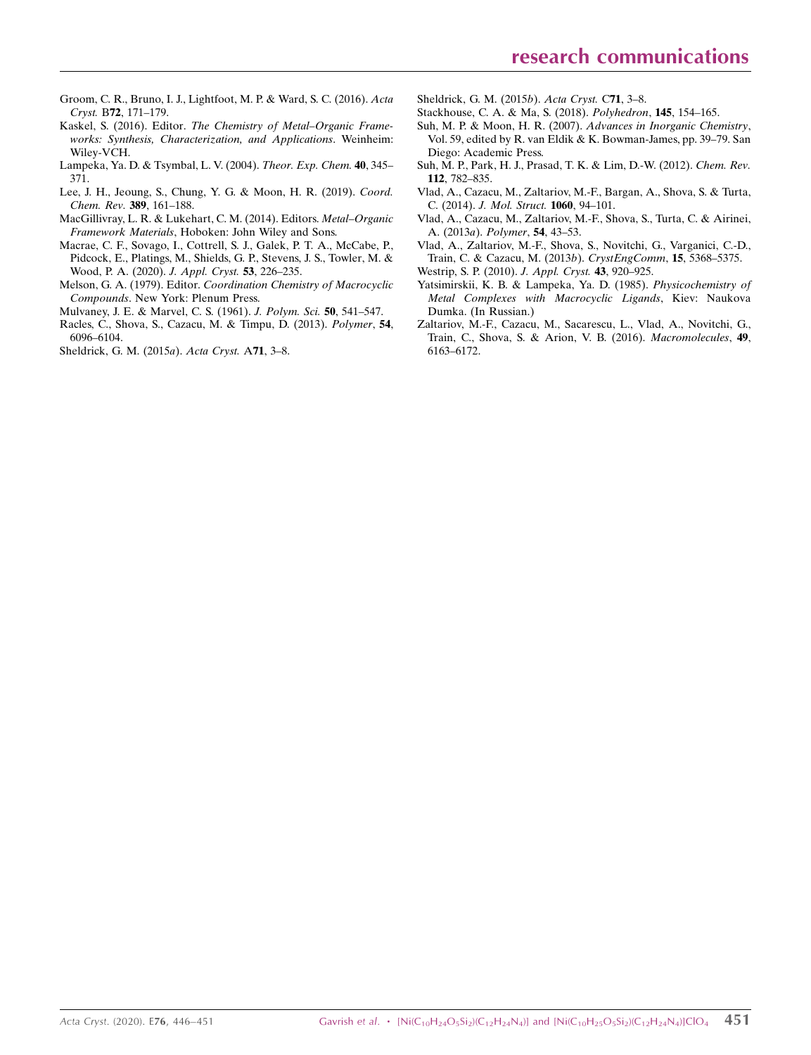- [Groom, C. R., Bruno, I. J., Lightfoot, M. P. & Ward, S. C. \(2016\).](http://scripts.iucr.org/cgi-bin/cr.cgi?rm=pdfbb&cnor=hb7892&bbid=BB26) Acta Cryst. B72[, 171–179.](http://scripts.iucr.org/cgi-bin/cr.cgi?rm=pdfbb&cnor=hb7892&bbid=BB26)
- Kaskel, S. (2016). Editor. [The Chemistry of Metal–Organic Frame](http://scripts.iucr.org/cgi-bin/cr.cgi?rm=pdfbb&cnor=hb7892&bbid=BB8)[works: Synthesis, Characterization, and Applications](http://scripts.iucr.org/cgi-bin/cr.cgi?rm=pdfbb&cnor=hb7892&bbid=BB8). Weinheim: [Wiley-VCH.](http://scripts.iucr.org/cgi-bin/cr.cgi?rm=pdfbb&cnor=hb7892&bbid=BB8)
- [Lampeka, Ya. D. & Tsymbal, L. V. \(2004\).](http://scripts.iucr.org/cgi-bin/cr.cgi?rm=pdfbb&cnor=hb7892&bbid=BB9) Theor. Exp. Chem. 40, 345– [371.](http://scripts.iucr.org/cgi-bin/cr.cgi?rm=pdfbb&cnor=hb7892&bbid=BB9)
- [Lee, J. H., Jeoung, S., Chung, Y. G. & Moon, H. R. \(2019\).](http://scripts.iucr.org/cgi-bin/cr.cgi?rm=pdfbb&cnor=hb7892&bbid=BB10) Coord. [Chem. Rev.](http://scripts.iucr.org/cgi-bin/cr.cgi?rm=pdfbb&cnor=hb7892&bbid=BB10) 389, 161–188.
- [MacGillivray, L. R. & Lukehart, C. M. \(2014\). Editors.](http://scripts.iucr.org/cgi-bin/cr.cgi?rm=pdfbb&cnor=hb7892&bbid=BB11) Metal–Organic Framework Materials[, Hoboken: John Wiley and Sons.](http://scripts.iucr.org/cgi-bin/cr.cgi?rm=pdfbb&cnor=hb7892&bbid=BB11)
- [Macrae, C. F., Sovago, I., Cottrell, S. J., Galek, P. T. A., McCabe, P.,](http://scripts.iucr.org/cgi-bin/cr.cgi?rm=pdfbb&cnor=hb7892&bbid=BB12) [Pidcock, E., Platings, M., Shields, G. P., Stevens, J. S., Towler, M. &](http://scripts.iucr.org/cgi-bin/cr.cgi?rm=pdfbb&cnor=hb7892&bbid=BB12) [Wood, P. A. \(2020\).](http://scripts.iucr.org/cgi-bin/cr.cgi?rm=pdfbb&cnor=hb7892&bbid=BB12) J. Appl. Cryst. 53, 226–235.
- Melson, G. A. (1979). Editor. [Coordination Chemistry of Macrocyclic](http://scripts.iucr.org/cgi-bin/cr.cgi?rm=pdfbb&cnor=hb7892&bbid=BB13) Compounds[. New York: Plenum Press.](http://scripts.iucr.org/cgi-bin/cr.cgi?rm=pdfbb&cnor=hb7892&bbid=BB13)
- [Mulvaney, J. E. & Marvel, C. S. \(1961\).](http://scripts.iucr.org/cgi-bin/cr.cgi?rm=pdfbb&cnor=hb7892&bbid=BB14) J. Polym. Sci. 50, 541–547.
- [Racles, C., Shova, S., Cazacu, M. & Timpu, D. \(2013\).](http://scripts.iucr.org/cgi-bin/cr.cgi?rm=pdfbb&cnor=hb7892&bbid=BB15) Polymer, 54, [6096–6104.](http://scripts.iucr.org/cgi-bin/cr.cgi?rm=pdfbb&cnor=hb7892&bbid=BB15)
- [Sheldrick, G. M. \(2015](http://scripts.iucr.org/cgi-bin/cr.cgi?rm=pdfbb&cnor=hb7892&bbid=BB16)a). Acta Cryst. A71, 3–8.
- [Sheldrick, G. M. \(2015](http://scripts.iucr.org/cgi-bin/cr.cgi?rm=pdfbb&cnor=hb7892&bbid=BB17)b). Acta Cryst. C71, 3–8.
- [Stackhouse, C. A. & Ma, S. \(2018\).](http://scripts.iucr.org/cgi-bin/cr.cgi?rm=pdfbb&cnor=hb7892&bbid=BB18) Polyhedron, 145, 154–165.
- [Suh, M. P. & Moon, H. R. \(2007\).](http://scripts.iucr.org/cgi-bin/cr.cgi?rm=pdfbb&cnor=hb7892&bbid=BB19) Advances in Inorganic Chemistry, [Vol. 59, edited by R. van Eldik & K. Bowman-James, pp. 39–79. San](http://scripts.iucr.org/cgi-bin/cr.cgi?rm=pdfbb&cnor=hb7892&bbid=BB19) [Diego: Academic Press.](http://scripts.iucr.org/cgi-bin/cr.cgi?rm=pdfbb&cnor=hb7892&bbid=BB19)
- [Suh, M. P., Park, H. J., Prasad, T. K. & Lim, D.-W. \(2012\).](http://scripts.iucr.org/cgi-bin/cr.cgi?rm=pdfbb&cnor=hb7892&bbid=BB20) Chem. Rev. 112[, 782–835.](http://scripts.iucr.org/cgi-bin/cr.cgi?rm=pdfbb&cnor=hb7892&bbid=BB20)
- [Vlad, A., Cazacu, M., Zaltariov, M.-F., Bargan, A., Shova, S. & Turta,](http://scripts.iucr.org/cgi-bin/cr.cgi?rm=pdfbb&cnor=hb7892&bbid=BB21) C. (2014). [J. Mol. Struct.](http://scripts.iucr.org/cgi-bin/cr.cgi?rm=pdfbb&cnor=hb7892&bbid=BB21) 1060, 94–101.
- [Vlad, A., Cazacu, M., Zaltariov, M.-F., Shova, S., Turta, C. & Airinei,](http://scripts.iucr.org/cgi-bin/cr.cgi?rm=pdfbb&cnor=hb7892&bbid=BB22) [A. \(2013](http://scripts.iucr.org/cgi-bin/cr.cgi?rm=pdfbb&cnor=hb7892&bbid=BB22)a). Polymer, 54, 43–53.
- [Vlad, A., Zaltariov, M.-F., Shova, S., Novitchi, G., Varganici, C.-D.,](http://scripts.iucr.org/cgi-bin/cr.cgi?rm=pdfbb&cnor=hb7892&bbid=BB23) [Train, C. & Cazacu, M. \(2013](http://scripts.iucr.org/cgi-bin/cr.cgi?rm=pdfbb&cnor=hb7892&bbid=BB23)b). CrystEngComm, 15, 5368–5375.
- [Westrip, S. P. \(2010\).](http://scripts.iucr.org/cgi-bin/cr.cgi?rm=pdfbb&cnor=hb7892&bbid=BB24) J. Appl. Cryst. 43, 920–925.
- [Yatsimirskii, K. B. & Lampeka, Ya. D. \(1985\).](http://scripts.iucr.org/cgi-bin/cr.cgi?rm=pdfbb&cnor=hb7892&bbid=BB25) Physicochemistry of [Metal Complexes with Macrocyclic Ligands](http://scripts.iucr.org/cgi-bin/cr.cgi?rm=pdfbb&cnor=hb7892&bbid=BB25), Kiev: Naukova [Dumka. \(In Russian.\)](http://scripts.iucr.org/cgi-bin/cr.cgi?rm=pdfbb&cnor=hb7892&bbid=BB25)
- [Zaltariov, M.-F., Cazacu, M., Sacarescu, L., Vlad, A., Novitchi, G.,](http://scripts.iucr.org/cgi-bin/cr.cgi?rm=pdfbb&cnor=hb7892&bbid=BB26) [Train, C., Shova, S. & Arion, V. B. \(2016\).](http://scripts.iucr.org/cgi-bin/cr.cgi?rm=pdfbb&cnor=hb7892&bbid=BB26) Macromolecules, 49, [6163–6172.](http://scripts.iucr.org/cgi-bin/cr.cgi?rm=pdfbb&cnor=hb7892&bbid=BB26)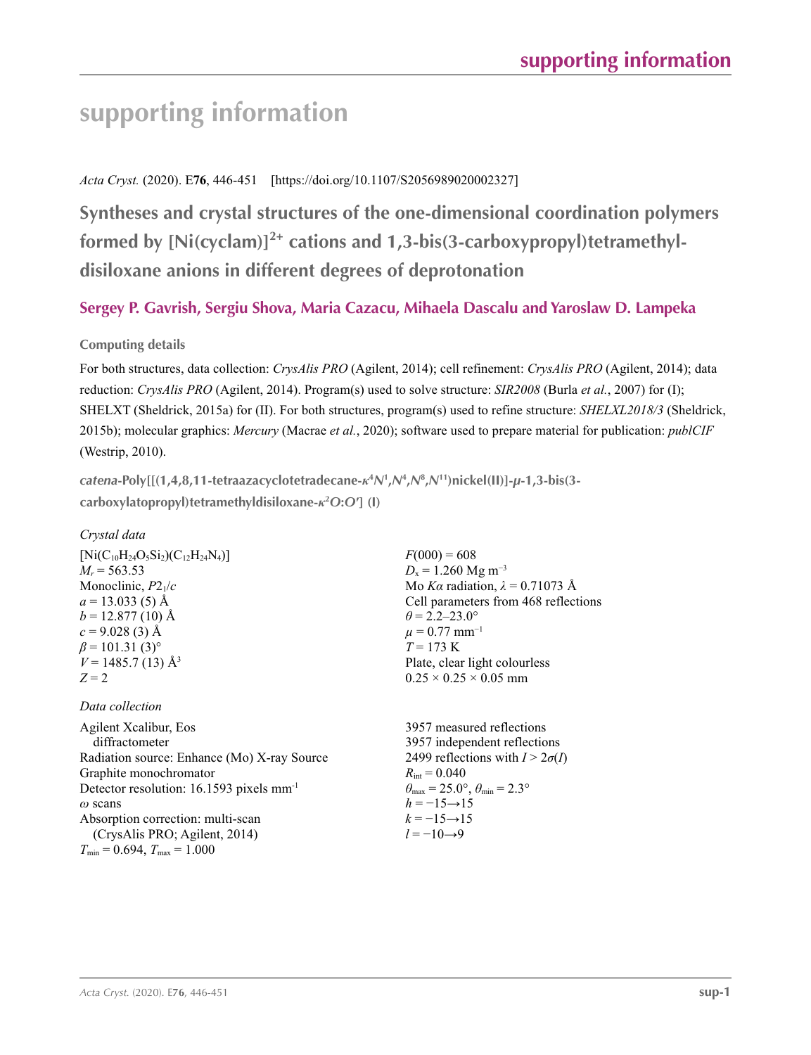# *Acta Cryst.* (2020). E**76**, 446-451 [https://doi.org/10.1107/S2056989020002327]

**Syntheses and crystal structures of the one-dimensional coordination polymers formed by [Ni(cyclam)]2+ cations and 1,3-bis(3-carboxypropyl)tetramethyldisiloxane anions in different degrees of deprotonation**

# **Sergey P. Gavrish, Sergiu Shova, Maria Cazacu, Mihaela Dascalu and Yaroslaw D. Lampeka**

# **Computing details**

For both structures, data collection: *CrysAlis PRO* (Agilent, 2014); cell refinement: *CrysAlis PRO* (Agilent, 2014); data reduction: *CrysAlis PRO* (Agilent, 2014). Program(s) used to solve structure: *SIR2008* (Burla *et al.*, 2007) for (I); SHELXT (Sheldrick, 2015a) for (II). For both structures, program(s) used to refine structure: *SHELXL2018/3* (Sheldrick, 2015b); molecular graphics: *Mercury* (Macrae *et al.*, 2020); software used to prepare material for publication: *publCIF* (Westrip, 2010).

*catena***-Poly[[(1,4,8,11-tetraazacyclotetradecane-***κ***<sup>4</sup>** *N***<sup>1</sup> ,***N***<sup>4</sup> ,***N***<sup>8</sup> ,***N***11)nickel(II)]-***µ***-1,3-bis(3 carboxylatopropyl)tetramethyldisiloxane-***κ***<sup>2</sup>** *O***:***O***′] (I)** 

*Crystal data*

| $[Ni(C_{10}H_{24}O_5Si_2)(C_{12}H_{24}N_4)]$ |
|----------------------------------------------|
| $M_r = 563.53$                               |
| Monoclinic, $P2_1/c$                         |
| $a = 13.033(5)$ Å                            |
| $b = 12.877(10)$ Å                           |
| $c = 9.028(3)$ Å                             |
| $\beta$ = 101.31 (3) <sup>o</sup>            |
| $V = 1485.7(13)$ Å <sup>3</sup>              |
| $Z = 2$                                      |
|                                              |

## *Data collection*

Agilent Xcalibur, Eos diffractometer Radiation source: Enhance (Mo) X-ray Source Graphite monochromator Detector resolution: 16.1593 pixels mm-1 *ω* scans Absorption correction: multi-scan (CrysAlis PRO; Agilent, 2014)  $T_{\text{min}} = 0.694, T_{\text{max}} = 1.000$ 

 $F(000) = 608$  $D_x = 1.260$  Mg m<sup>-3</sup> Mo *Kα* radiation,  $\lambda = 0.71073$  Å Cell parameters from 468 reflections  $\theta$  = 2.2–23.0°  $\mu$  = 0.77 mm<sup>-1</sup>  $T = 173 \text{ K}$ Plate, clear light colourless  $0.25 \times 0.25 \times 0.05$  mm

3957 measured reflections 3957 independent reflections 2499 reflections with  $I > 2\sigma(I)$  $R_{\text{int}} = 0.040$  $\theta_{\text{max}} = 25.0^{\circ}, \theta_{\text{min}} = 2.3^{\circ}$  $h = -15 \rightarrow 15$  $k = -15 \rightarrow 15$  $l = -10 \rightarrow 9$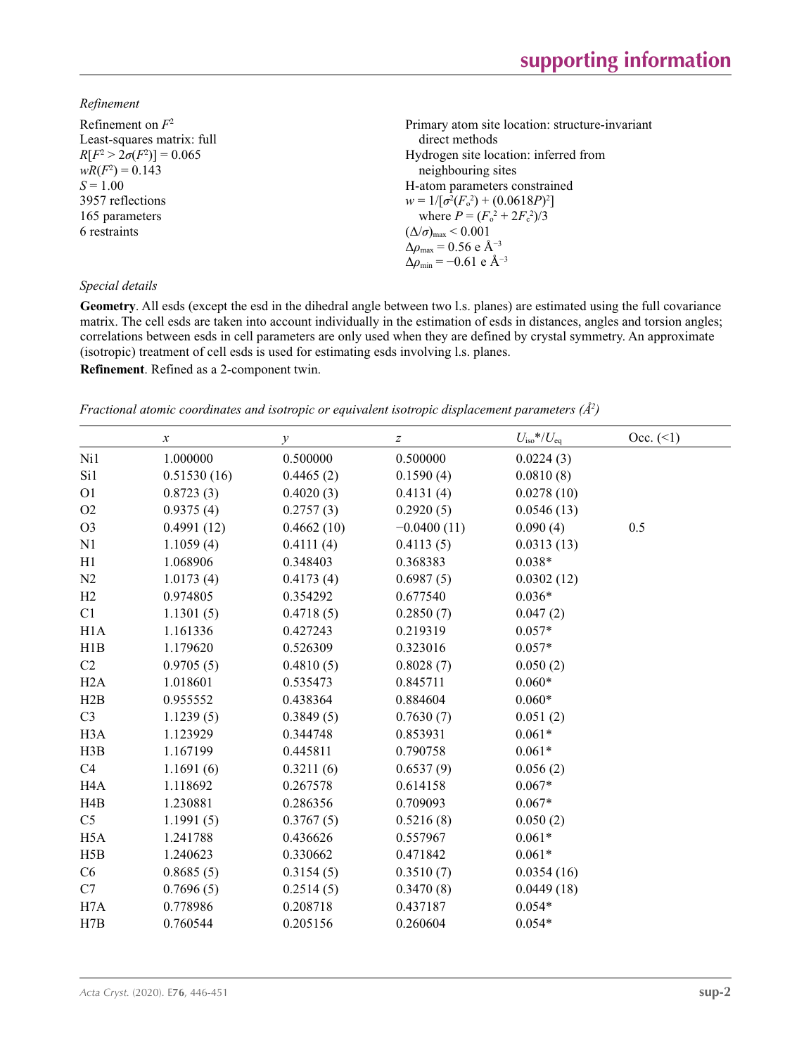## *Refinement*

| Refinement on $F^2$             | Primary atom site location: structure-invariant    |
|---------------------------------|----------------------------------------------------|
| Least-squares matrix: full      | direct methods                                     |
| $R[F^2 > 2\sigma(F^2)] = 0.065$ | Hydrogen site location: inferred from              |
| $wR(F^2) = 0.143$               | neighbouring sites                                 |
| $S = 1.00$                      | H-atom parameters constrained                      |
| 3957 reflections                | $w = 1/[\sigma^2(F_0^2) + (0.0618P)^2]$            |
| 165 parameters                  | where $P = (F_o^2 + 2F_c^2)/3$                     |
| 6 restraints                    | $(\Delta/\sigma)_{\text{max}}$ < 0.001             |
|                                 | $\Delta \rho_{\text{max}} = 0.56 \text{ e A}^{-3}$ |
|                                 | $\Delta \rho_{\rm min} = -0.61$ e Å <sup>-3</sup>  |
| Special details                 |                                                    |

**Geometry**. All esds (except the esd in the dihedral angle between two l.s. planes) are estimated using the full covariance matrix. The cell esds are taken into account individually in the estimation of esds in distances, angles and torsion angles; correlations between esds in cell parameters are only used when they are defined by crystal symmetry. An approximate (isotropic) treatment of cell esds is used for estimating esds involving l.s. planes. **Refinement**. Refined as a 2-component twin.

*Fractional atomic coordinates and isotropic or equivalent isotropic displacement parameters (Å<sup>2</sup>)* 

|                  | $\boldsymbol{x}$ | $\mathcal{Y}$ | $\boldsymbol{Z}$ | $U_{\rm iso}$ */ $U_{\rm eq}$ | Occ. (2) |
|------------------|------------------|---------------|------------------|-------------------------------|----------|
| Ni1              | 1.000000         | 0.500000      | 0.500000         | 0.0224(3)                     |          |
| Si1              | 0.51530(16)      | 0.4465(2)     | 0.1590(4)        | 0.0810(8)                     |          |
| O <sub>1</sub>   | 0.8723(3)        | 0.4020(3)     | 0.4131(4)        | 0.0278(10)                    |          |
| O2               | 0.9375(4)        | 0.2757(3)     | 0.2920(5)        | 0.0546(13)                    |          |
| O <sub>3</sub>   | 0.4991(12)       | 0.4662(10)    | $-0.0400(11)$    | 0.090(4)                      | 0.5      |
| N1               | 1.1059(4)        | 0.4111(4)     | 0.4113(5)        | 0.0313(13)                    |          |
| H1               | 1.068906         | 0.348403      | 0.368383         | $0.038*$                      |          |
| N2               | 1.0173(4)        | 0.4173(4)     | 0.6987(5)        | 0.0302(12)                    |          |
| H2               | 0.974805         | 0.354292      | 0.677540         | $0.036*$                      |          |
| C1               | 1.1301(5)        | 0.4718(5)     | 0.2850(7)        | 0.047(2)                      |          |
| H1A              | 1.161336         | 0.427243      | 0.219319         | $0.057*$                      |          |
| H1B              | 1.179620         | 0.526309      | 0.323016         | $0.057*$                      |          |
| C2               | 0.9705(5)        | 0.4810(5)     | 0.8028(7)        | 0.050(2)                      |          |
| H2A              | 1.018601         | 0.535473      | 0.845711         | $0.060*$                      |          |
| H2B              | 0.955552         | 0.438364      | 0.884604         | $0.060*$                      |          |
| C <sub>3</sub>   | 1.1239(5)        | 0.3849(5)     | 0.7630(7)        | 0.051(2)                      |          |
| H <sub>3</sub> A | 1.123929         | 0.344748      | 0.853931         | $0.061*$                      |          |
| H3B              | 1.167199         | 0.445811      | 0.790758         | $0.061*$                      |          |
| C <sub>4</sub>   | 1.1691(6)        | 0.3211(6)     | 0.6537(9)        | 0.056(2)                      |          |
| H <sub>4</sub> A | 1.118692         | 0.267578      | 0.614158         | $0.067*$                      |          |
| H4B              | 1.230881         | 0.286356      | 0.709093         | $0.067*$                      |          |
| C <sub>5</sub>   | 1.1991(5)        | 0.3767(5)     | 0.5216(8)        | 0.050(2)                      |          |
| H <sub>5</sub> A | 1.241788         | 0.436626      | 0.557967         | $0.061*$                      |          |
| H5B              | 1.240623         | 0.330662      | 0.471842         | $0.061*$                      |          |
| C6               | 0.8685(5)        | 0.3154(5)     | 0.3510(7)        | 0.0354(16)                    |          |
| C7               | 0.7696(5)        | 0.2514(5)     | 0.3470(8)        | 0.0449(18)                    |          |
| H7A              | 0.778986         | 0.208718      | 0.437187         | $0.054*$                      |          |
| H7B              | 0.760544         | 0.205156      | 0.260604         | $0.054*$                      |          |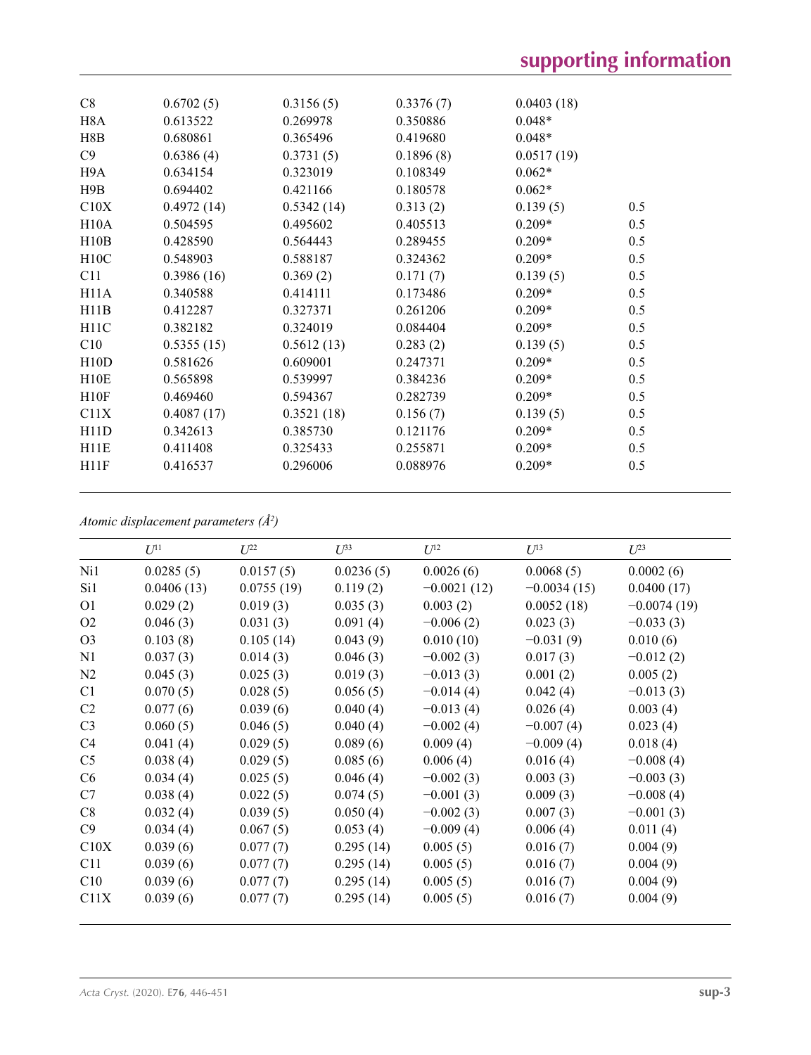| C8               | 0.6702(5)  | 0.3156(5)  | 0.3376(7) | 0.0403(18) |     |
|------------------|------------|------------|-----------|------------|-----|
| H <sub>8</sub> A | 0.613522   | 0.269978   | 0.350886  | $0.048*$   |     |
| H8B              | 0.680861   | 0.365496   | 0.419680  | $0.048*$   |     |
| C9               | 0.6386(4)  | 0.3731(5)  | 0.1896(8) | 0.0517(19) |     |
| H9A              | 0.634154   | 0.323019   | 0.108349  | $0.062*$   |     |
| H9B              | 0.694402   | 0.421166   | 0.180578  | $0.062*$   |     |
| C10X             | 0.4972(14) | 0.5342(14) | 0.313(2)  | 0.139(5)   | 0.5 |
| H10A             | 0.504595   | 0.495602   | 0.405513  | $0.209*$   | 0.5 |
| H10B             | 0.428590   | 0.564443   | 0.289455  | $0.209*$   | 0.5 |
| H10C             | 0.548903   | 0.588187   | 0.324362  | $0.209*$   | 0.5 |
| C11              | 0.3986(16) | 0.369(2)   | 0.171(7)  | 0.139(5)   | 0.5 |
| H11A             | 0.340588   | 0.414111   | 0.173486  | $0.209*$   | 0.5 |
| H11B             | 0.412287   | 0.327371   | 0.261206  | $0.209*$   | 0.5 |
| H11C             | 0.382182   | 0.324019   | 0.084404  | $0.209*$   | 0.5 |
| C10              | 0.5355(15) | 0.5612(13) | 0.283(2)  | 0.139(5)   | 0.5 |
| H10D             | 0.581626   | 0.609001   | 0.247371  | $0.209*$   | 0.5 |
| H10E             | 0.565898   | 0.539997   | 0.384236  | $0.209*$   | 0.5 |
| H10F             | 0.469460   | 0.594367   | 0.282739  | $0.209*$   | 0.5 |
| C11X             | 0.4087(17) | 0.3521(18) | 0.156(7)  | 0.139(5)   | 0.5 |
| H11D             | 0.342613   | 0.385730   | 0.121176  | $0.209*$   | 0.5 |
| H11E             | 0.411408   | 0.325433   | 0.255871  | $0.209*$   | 0.5 |
| H11F             | 0.416537   | 0.296006   | 0.088976  | $0.209*$   | 0.5 |
|                  |            |            |           |            |     |

*Atomic displacement parameters (Å2 )*

|                | $U^{11}$   | $U^{22}$   | $U^{33}$  | $U^{12}$      | $U^{13}$      | $U^{23}$      |
|----------------|------------|------------|-----------|---------------|---------------|---------------|
| Ni1            | 0.0285(5)  | 0.0157(5)  | 0.0236(5) | 0.0026(6)     | 0.0068(5)     | 0.0002(6)     |
| Si1            | 0.0406(13) | 0.0755(19) | 0.119(2)  | $-0.0021(12)$ | $-0.0034(15)$ | 0.0400(17)    |
| O <sub>1</sub> | 0.029(2)   | 0.019(3)   | 0.035(3)  | 0.003(2)      | 0.0052(18)    | $-0.0074(19)$ |
| O <sub>2</sub> | 0.046(3)   | 0.031(3)   | 0.091(4)  | $-0.006(2)$   | 0.023(3)      | $-0.033(3)$   |
| O <sub>3</sub> | 0.103(8)   | 0.105(14)  | 0.043(9)  | 0.010(10)     | $-0.031(9)$   | 0.010(6)      |
| N1             | 0.037(3)   | 0.014(3)   | 0.046(3)  | $-0.002(3)$   | 0.017(3)      | $-0.012(2)$   |
| N2             | 0.045(3)   | 0.025(3)   | 0.019(3)  | $-0.013(3)$   | 0.001(2)      | 0.005(2)      |
| C <sub>1</sub> | 0.070(5)   | 0.028(5)   | 0.056(5)  | $-0.014(4)$   | 0.042(4)      | $-0.013(3)$   |
| C <sub>2</sub> | 0.077(6)   | 0.039(6)   | 0.040(4)  | $-0.013(4)$   | 0.026(4)      | 0.003(4)      |
| C <sub>3</sub> | 0.060(5)   | 0.046(5)   | 0.040(4)  | $-0.002(4)$   | $-0.007(4)$   | 0.023(4)      |
| C4             | 0.041(4)   | 0.029(5)   | 0.089(6)  | 0.009(4)      | $-0.009(4)$   | 0.018(4)      |
| C <sub>5</sub> | 0.038(4)   | 0.029(5)   | 0.085(6)  | 0.006(4)      | 0.016(4)      | $-0.008(4)$   |
| C <sub>6</sub> | 0.034(4)   | 0.025(5)   | 0.046(4)  | $-0.002(3)$   | 0.003(3)      | $-0.003(3)$   |
| C7             | 0.038(4)   | 0.022(5)   | 0.074(5)  | $-0.001(3)$   | 0.009(3)      | $-0.008(4)$   |
| C8             | 0.032(4)   | 0.039(5)   | 0.050(4)  | $-0.002(3)$   | 0.007(3)      | $-0.001(3)$   |
| C9             | 0.034(4)   | 0.067(5)   | 0.053(4)  | $-0.009(4)$   | 0.006(4)      | 0.011(4)      |
| C10X           | 0.039(6)   | 0.077(7)   | 0.295(14) | 0.005(5)      | 0.016(7)      | 0.004(9)      |
| C11            | 0.039(6)   | 0.077(7)   | 0.295(14) | 0.005(5)      | 0.016(7)      | 0.004(9)      |
| C10            | 0.039(6)   | 0.077(7)   | 0.295(14) | 0.005(5)      | 0.016(7)      | 0.004(9)      |
| C11X           | 0.039(6)   | 0.077(7)   | 0.295(14) | 0.005(5)      | 0.016(7)      | 0.004(9)      |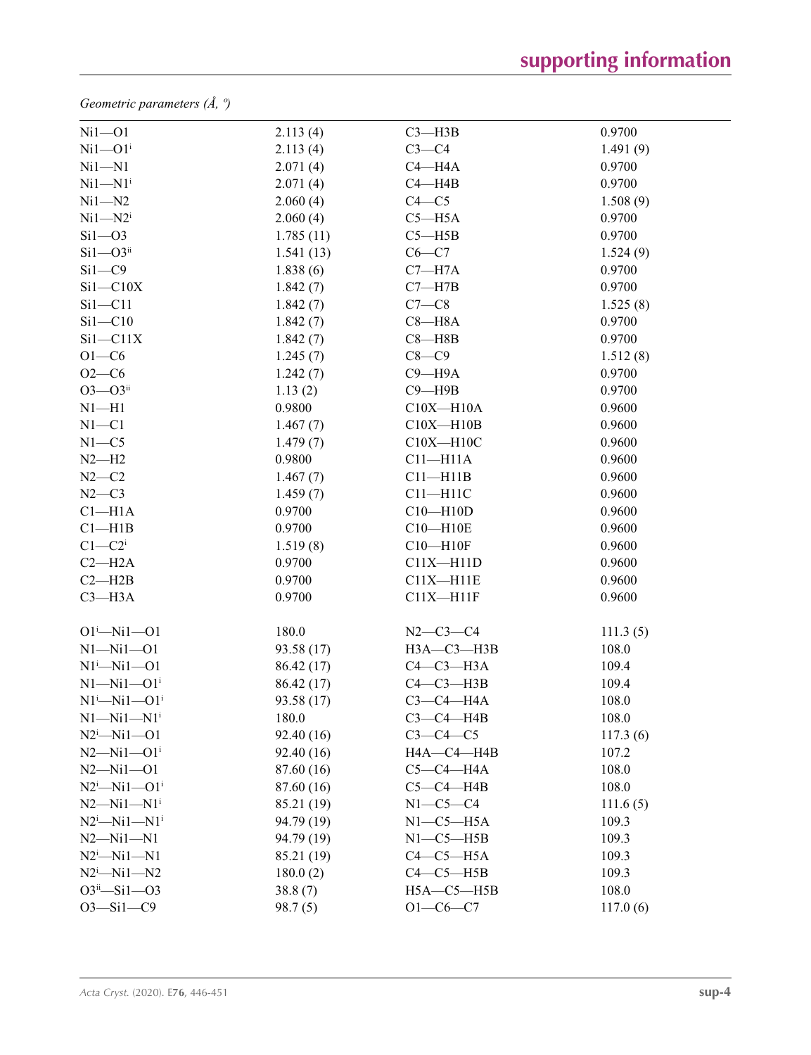*Geometric parameters (Å, º)*

| $Ni1 - O1$                   | 2.113(4)   | $C3$ -H3B        | 0.9700   |
|------------------------------|------------|------------------|----------|
| $Ni1 - O1$ <sup>i</sup>      | 2.113(4)   | $C3-C4$          | 1.491(9) |
| $Ni1 - N1$                   | 2.071(4)   | $C4 - H4A$       | 0.9700   |
| $Ni1 - N1$ <sup>i</sup>      | 2.071(4)   | $C4 - H4B$       | 0.9700   |
| $Ni1 - N2$                   | 2.060(4)   | $C4 - C5$        | 1.508(9) |
| $Ni1 - N2$ <sup>i</sup>      | 2.060(4)   | $C5 - H5A$       | 0.9700   |
| $Si1 - O3$                   | 1.785(11)  | $C5 - H5B$       | 0.9700   |
| $Si1 - O3$ <sup>ii</sup>     | 1.541(13)  | $C6 - C7$        | 1.524(9) |
| $Si1 - C9$                   | 1.838(6)   | $C7 - H7A$       | 0.9700   |
| $Si1 - C10X$                 | 1.842(7)   | $C7 - H7B$       | 0.9700   |
| $Si1 - C11$                  | 1.842(7)   | $C7-C8$          | 1.525(8) |
| $Si1 - C10$                  | 1.842(7)   | $C8 - H8A$       | 0.9700   |
| $Si1 - C11X$                 | 1.842(7)   | $C8 - H8B$       | 0.9700   |
| $O1 - C6$                    | 1.245(7)   | $C8-C9$          | 1.512(8) |
| $O2 - C6$                    | 1.242(7)   | $C9 - H9A$       | 0.9700   |
| $O3 - O3$ <sup>ii</sup>      | 1.13(2)    | $C9 - H9B$       | 0.9700   |
| $N1 - H1$                    | 0.9800     | $C10X - H10A$    | 0.9600   |
| $N1 - C1$                    | 1.467(7)   | $C10X - H10B$    | 0.9600   |
| $N1 - C5$                    | 1.479(7)   | $C10X - H10C$    | 0.9600   |
| $N2-H2$                      | 0.9800     | $C11 - H11A$     | 0.9600   |
| $N2-C2$                      | 1.467(7)   | $C11 - H11B$     | 0.9600   |
| $N2-C3$                      | 1.459(7)   | $C11 - H11C$     | 0.9600   |
| $Cl-H1A$                     | 0.9700     | $C10 - H10D$     | 0.9600   |
| Cl—H1B                       | 0.9700     | $C10 - H10E$     | 0.9600   |
| $C1-C2$ <sup>i</sup>         | 1.519(8)   | $C10 - H10F$     | 0.9600   |
| $C2 - H2A$                   | 0.9700     | $C11X - H11D$    | 0.9600   |
| $C2 - H2B$                   | 0.9700     | $C11X - H11E$    | 0.9600   |
| $C3 - H3A$                   | 0.9700     | $C11X - H11F$    | 0.9600   |
| $O1^i$ -Ni $1$ -O1           | 180.0      | $N2 - C3 - C4$   | 111.3(5) |
| $N1 - N11 - 01$              | 93.58 (17) | НЗА-СЗ-НЗВ       | 108.0    |
| $N1^i$ — $Ni1$ — $O1$        | 86.42 (17) | $C4-C3-H3A$      | 109.4    |
| $N1 - N11 - O1$ <sup>i</sup> | 86.42 (17) | $C4-C3-H3B$      | 109.4    |
| $N1^i$ — $N11$ — $O1^i$      | 93.58 (17) | $C3-C4-H4A$      | 108.0    |
| $N1 - N11 - N1$ <sup>i</sup> | 180.0      | $C3-C4-H4B$      | 108.0    |
| $N2^i$ -Ni1-01               | 92.40 (16) | $C3-C4-C5$       | 117.3(6) |
| $N2 - Ni1 - O1$ <sup>i</sup> | 92.40(16)  | $HA$ -C4-H4B     | 107.2    |
| $N2 - Ni1 - O1$              | 87.60 (16) | $C5-C4-H4A$      | 108.0    |
| $N2^i$ -Ni1--O1 <sup>i</sup> | 87.60 (16) | $C5-C4-H4B$      | 108.0    |
| $N2 - N11 - N1$ <sup>i</sup> | 85.21 (19) | $N1-C5-C4$       | 111.6(5) |
| $N2^i$ -Ni1-N1 <sup>i</sup>  | 94.79 (19) | $N1-C5-H5A$      | 109.3    |
| $N2 - N11 - N1$              | 94.79 (19) | $N1-C5-H5B$      | 109.3    |
| $N2^i$ -Ni1-N1               | 85.21 (19) | $C4-C5-H5A$      | 109.3    |
| $N2^i$ -Ni1- $N2$            | 180.0(2)   | $C4-C5-H5B$      | 109.3    |
| $O3^{ii} - Si1 - O3$         | 38.8(7)    | $H5A - C5 - H5B$ | 108.0    |
| $O3 - Si1 - C9$              | 98.7(5)    | $O1 - C6 - C7$   | 117.0(6) |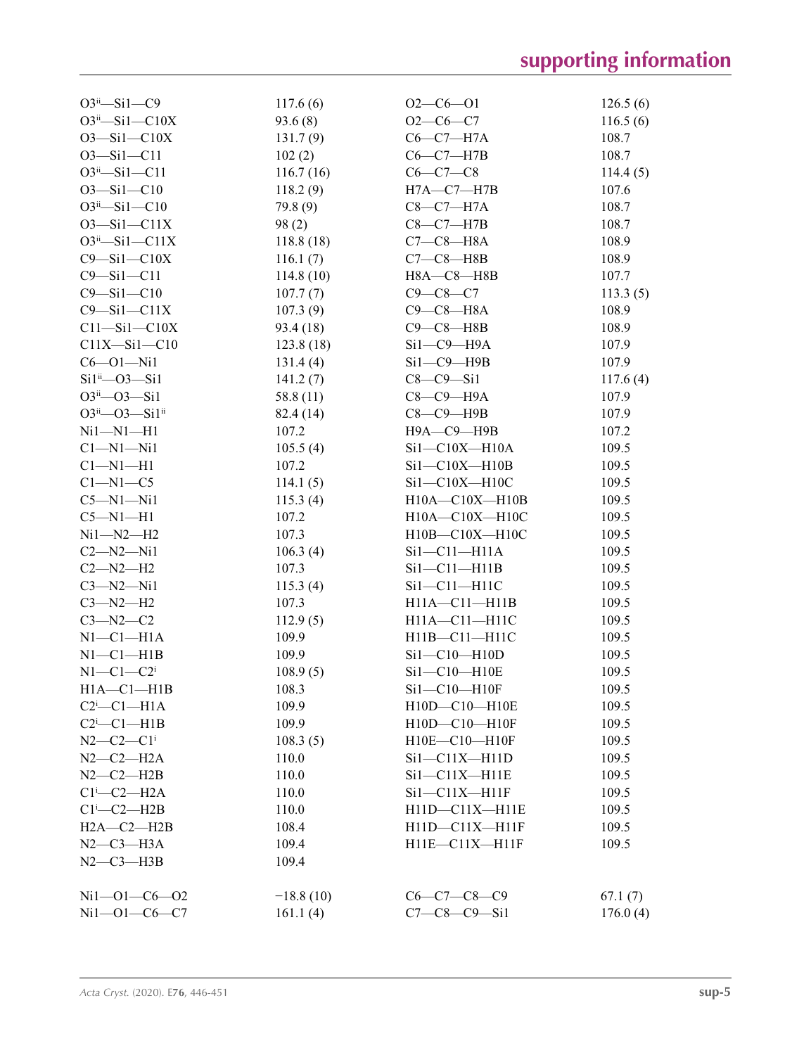| $O3ii - Si1 - C9$             | 117.6(6)    | $O2-C6-O1$           | 126.5(6) |
|-------------------------------|-------------|----------------------|----------|
| $O3ii$ -Sil-Cl0X              | 93.6(8)     | $O2-C6-C7$           | 116.5(6) |
| $O3 - Si1 - C10X$             | 131.7(9)    | $C6-C7-H7A$          | 108.7    |
| $O3 - Si1 - C11$              | 102(2)      | $C6-C7-H7B$          | 108.7    |
| $O3^{ii} - Si1 - C11$         | 116.7(16)   | $C6 - C7 - C8$       | 114.4(5) |
| $O3 - Si1 - C10$              | 118.2(9)    | $H7A - C7 - H7B$     | 107.6    |
| $O3^{ii} - Si1 - C10$         | 79.8 (9)    | $C8-C7-H7A$          | 108.7    |
| $O3 - Si1 - C11X$             | 98(2)       | $C8-C7-H7B$          | 108.7    |
| $O3ii$ —Si $1$ —C $11X$       | 118.8(18)   | $C7-C8-H8A$          | 108.9    |
| $C9 - Si1 - C10X$             | 116.1(7)    | $C7-C8-H8B$          | 108.9    |
| $C9 - Si1 - C11$              | 114.8(10)   | $H8A - C8 - H8B$     | 107.7    |
| $C9 - Si1 - C10$              | 107.7(7)    | $C9 - C8 - C7$       | 113.3(5) |
| $C9 - Si1 - C11X$             | 107.3(9)    | $C9-C8-H8A$          | 108.9    |
| $C11 - Si1 - C10X$            | 93.4(18)    | $C9 - C8 - H8B$      | 108.9    |
| $C11X-Si1-C10$                | 123.8(18)   | $Si1-C9-H9A$         | 107.9    |
| $C6 - O1 - Ni1$               | 131.4(4)    | $Si1-C9-H9B$         | 107.9    |
| $Si1^{ii}$ - $O3$ - $Si1$     | 141.2(7)    | $C8-C9-Si1$          | 117.6(4) |
| $O3^{ii} - O3 - Si1$          | 58.8(11)    | С8-С9-Н9А            | 107.9    |
| $O3^{ii}$ - $O3$ - $Si1^{ii}$ | 82.4 (14)   | $C8-C9-$ H9B         | 107.9    |
| $Ni1 - N1 - H1$               | 107.2       | Н9А-С9-Н9В           | 107.2    |
| $Cl-M1-Ni1$                   | 105.5(4)    | $Si1-C10X-H10A$      | 109.5    |
| $Cl-M1-H1$                    | 107.2       | $Si1-C10X-H10B$      | 109.5    |
| $C1 - N1 - C5$                | 114.1(5)    | $Si1-C10X-H10C$      | 109.5    |
| $C5-M1-Ni1$                   | 115.3(4)    | $H10A - C10X - H10B$ | 109.5    |
| $C5-M1-H1$                    | 107.2       | $H10A - C10X - H10C$ | 109.5    |
| $Ni1 - N2 - H2$               | 107.3       | $H10B - C10X - H10C$ | 109.5    |
| $C2-M2-Ni1$                   | 106.3(4)    | $Si1-C11-H11A$       | 109.5    |
| $C2 - N2 - H2$                | 107.3       | $Si1-C11-H11B$       | 109.5    |
| $C3 - N2 - N11$               | 115.3(4)    | $Si1-C11-H11C$       | 109.5    |
| $C3 - N2 - H2$                | 107.3       | $H11A - C11 - H11B$  | 109.5    |
| $C3 - N2 - C2$                | 112.9(5)    | H11A-C11-H11C        | 109.5    |
| $N1-C1-H1A$                   | 109.9       | H11B-C11-H11C        | 109.5    |
| $N1-C1-H1B$                   | 109.9       | $Si1-C10-H10D$       | 109.5    |
| $N1-C1-C2$ <sup>i</sup>       | 108.9(5)    | Si1-C10-H10E         | 109.5    |
| $H1A - C1 - H1B$              | 108.3       | $Si1-C10-H10F$       | 109.5    |
| $C2$ <sup>i</sup> - $C1$ -H1A | 109.9       | H10D-C10-H10E        | 109.5    |
| $C2$ <sup>i</sup> - $C1$ -H1B | 109.9       | H10D-C10-H10F        | 109.5    |
| $N2 - C2 - C1$ <sup>i</sup>   | 108.3(5)    | H10E-C10-H10F        | 109.5    |
| $N2-C2-H2A$                   | 110.0       | $Si1-C11X-H11D$      | 109.5    |
| $N2-C2-H2B$                   | 110.0       | $Si1-C11X-H11E$      | 109.5    |
| $Cl^i$ -C2-H2A                | 110.0       | $Si1-C11X-H11F$      | 109.5    |
| $Cl^1$ -C2-H2B                | 110.0       | H11D-C11X-H11E       | 109.5    |
| $H2A - C2 - H2B$              | 108.4       | $H11D-C11X-H11F$     | 109.5    |
| $N2-C3-H3A$                   | 109.4       | $H11E-C11X-H11F$     | 109.5    |
| $N2-C3-H3B$                   | 109.4       |                      |          |
|                               |             |                      |          |
| $Ni1 - O1 - C6 - O2$          | $-18.8(10)$ | $C6-C7-C8-C9$        | 67.1(7)  |
| $Ni1 - O1 - C6 - C7$          | 161.1(4)    | $C7-C8-C9-Si1$       | 176.0(4) |
|                               |             |                      |          |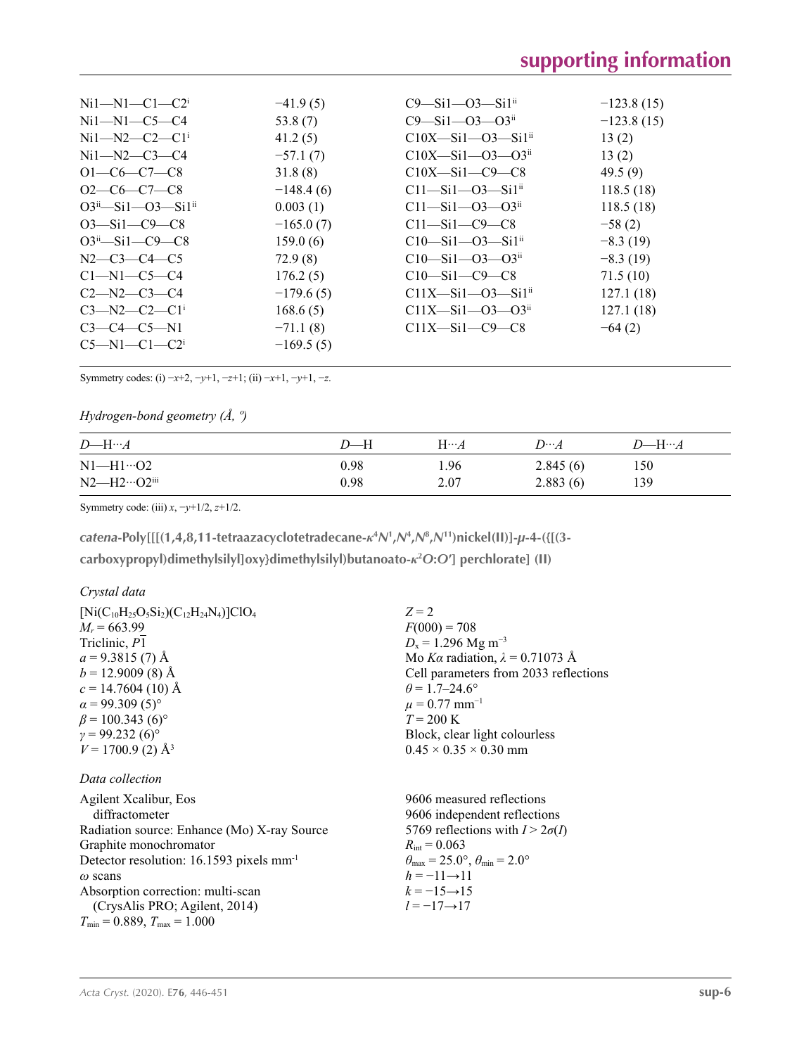| $Ni1 - N1 - C1 - C2$            | $-41.9(5)$  | $C9 - Si1 - O3 - Si1$ <sup>ii</sup>    | $-123.8(15)$ |
|---------------------------------|-------------|----------------------------------------|--------------|
| $Ni1 - N1 - C5 - C4$            | 53.8 $(7)$  | $C9 - Si1 - O3 - O3$ <sup>ii</sup>     | $-123.8(15)$ |
| $Ni1 - N2 - C2 - C1$            | 41.2(5)     | $C10X - Si1 - O3 - Si1ii$              | 13(2)        |
| $Ni1 - N2 - C3 - C4$            | $-57.1(7)$  | $C10X-Si1-03-03ii$                     | 13(2)        |
| $O1-C6-C7-C8$                   | 31.8(8)     | $C10X-Si1-C9-C8$                       | 49.5(9)      |
| $O2-C6-C7-C8$                   | $-148.4(6)$ | $C11 - Si1 - O3 - Si1ii$               | 118.5(18)    |
| $O3^{ii} - Si1 - O3 - Si1^{ii}$ | 0.003(1)    | $C11 - Si1 - O3 - O3$ <sup>ii</sup>    | 118.5(18)    |
| $O3 - Si1 - C9 - C8$            | $-165.0(7)$ | $C11-Si1-C9-C8$                        | $-58(2)$     |
| $O3^{ii} - Si1 - C9 - C8$       | 159.0(6)    | $C10$ —Si $1$ —O3—Si $1$ <sup>ii</sup> | $-8.3(19)$   |
| $N2-C3-C4-C5$                   | 72.9(8)     | $C10-Si1-03-03ii$                      | $-8.3(19)$   |
| $C1 - N1 - C5 - C4$             | 176.2(5)    | $C10$ —Si $1$ —C $9$ —C $8$            | 71.5(10)     |
| $C2 - N2 - C3 - C4$             | $-179.6(5)$ | $C11X-Si1-03-Si1ii$                    | 127.1(18)    |
| $C3 - N2 - C2 - C1$             | 168.6(5)    | $C11X-Si1-03-03ii$                     | 127.1(18)    |
| $C3 - C4 - C5 - N1$             | $-71.1(8)$  | $C11X-Si1-C9-C8$                       | $-64(2)$     |
| $C5-M1-C1-C2$ <sup>i</sup>      | $-169.5(5)$ |                                        |              |
|                                 |             |                                        |              |

Symmetry codes: (i) −*x*+2, −*y*+1, −*z*+1; (ii) −*x*+1, −*y*+1, −*z*.

## *Hydrogen-bond geometry (Å, º)*

| $D$ —H… $A$             | D—H  | $H\cdots A$ | $D\cdots A$ | $D$ —H… $A$ |
|-------------------------|------|-------------|-------------|-------------|
| $N1-H1\cdots$ O2        | 0.98 | 1.96        | 2.845(6)    | 150         |
| $N2$ —H $2\cdots$ O2iii | 0.98 | 2.07        | 2.883(6)    | 139         |

Symmetry code: (iii) *x*, −*y*+1/2, *z*+1/2.

*catena***-Poly[[[(1,4,8,11-tetraazacyclotetradecane-***κ***<sup>4</sup>** *N***<sup>1</sup> ,***N***<sup>4</sup> ,***N***<sup>8</sup> ,***N***11)nickel(II)]-***µ***-4-({[(3-**

**carboxypropyl)dimethylsilyl]oxy}dimethylsilyl)butanoato-***κ***<sup>2</sup>** *O***:***O***′] perchlorate] (II)** 

## *Crystal data*

| $[Ni(C_{10}H_{25}O_5Si_2)(C_{12}H_{24}N_4)]ClO_4$ | $Z = 2$                                |
|---------------------------------------------------|----------------------------------------|
| $M_r = 663.99$                                    | $F(000) = 708$                         |
| Triclinic, P1                                     | $D_x = 1.296$ Mg m <sup>-3</sup>       |
| $a = 9.3815(7)$ Å                                 | Mo Ka radiation, $\lambda = 0.71073$ Å |
| $b = 12.9009(8)$ Å                                | Cell parameters from 2033 reflections  |
| $c = 14.7604(10)$ Å                               | $\theta$ = 1.7–24.6°                   |
| $\alpha$ = 99.309 (5) <sup>o</sup>                | $\mu = 0.77$ mm <sup>-1</sup>          |
| $\beta$ = 100.343 (6) <sup>o</sup>                | $T = 200 \text{ K}$                    |
| $\gamma = 99.232(6)$ °                            | Block, clear light colourless          |
| $V = 1700.9$ (2) Å <sup>3</sup>                   | $0.45 \times 0.35 \times 0.30$ mm      |
|                                                   |                                        |

# *Data collection*

| Agilent Xcalibur, Eos                                | 9606 measured reflections                                               |
|------------------------------------------------------|-------------------------------------------------------------------------|
| diffractometer                                       | 9606 independent reflections                                            |
| Radiation source: Enhance (Mo) X-ray Source          | 5769 reflections with $I > 2\sigma(I)$                                  |
| Graphite monochromator                               | $R_{\text{int}} = 0.063$                                                |
| Detector resolution: 16.1593 pixels mm <sup>-1</sup> | $\theta_{\text{max}} = 25.0^{\circ}, \theta_{\text{min}} = 2.0^{\circ}$ |
| $\omega$ scans                                       | $h = -11 \rightarrow 11$                                                |
| Absorption correction: multi-scan                    | $k = -15 \rightarrow 15$                                                |
| (CrysAlis PRO; Agilent, 2014)                        | $l = -17 \rightarrow 17$                                                |
| $T_{\min}$ = 0.889, $T_{\max}$ = 1.000               |                                                                         |
|                                                      |                                                                         |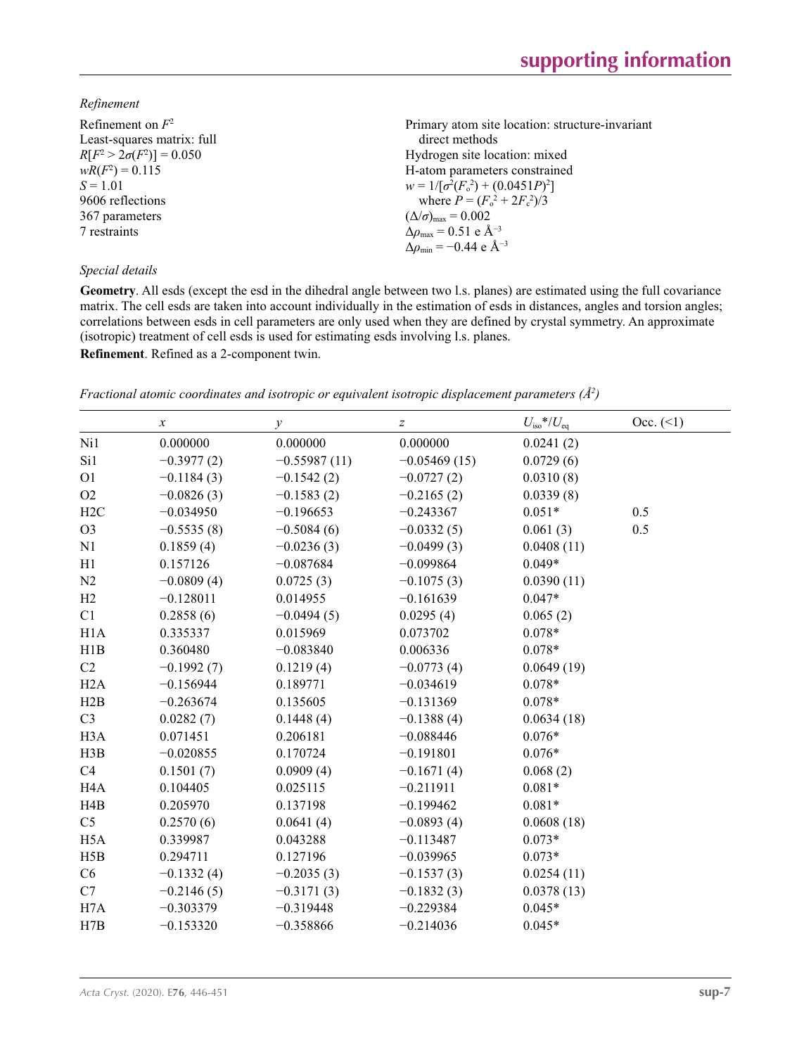## *Refinement*

| Refinement on $F^2$             | Primary atom site location: structure-invariant              |
|---------------------------------|--------------------------------------------------------------|
| Least-squares matrix: full      | direct methods                                               |
| $R[F^2 > 2\sigma(F^2)] = 0.050$ | Hydrogen site location: mixed                                |
| $wR(F^2) = 0.115$               | H-atom parameters constrained                                |
| $S = 1.01$                      | $w = 1/[\sigma^2(F_0^2) + (0.0451P)^2]$                      |
| 9606 reflections                | where $P = (F_0^2 + 2F_c^2)/3$                               |
| 367 parameters                  | $(\Delta/\sigma)_{\text{max}} = 0.002$                       |
| 7 restraints                    | $\Delta \rho_{\text{max}} = 0.51 \text{ e } \text{\AA}^{-3}$ |
|                                 | $\Delta\rho_{\rm min} = -0.44 \text{ e } \text{\AA}^{-3}$    |
| Special details                 |                                                              |

**Geometry**. All esds (except the esd in the dihedral angle between two l.s. planes) are estimated using the full covariance matrix. The cell esds are taken into account individually in the estimation of esds in distances, angles and torsion angles; correlations between esds in cell parameters are only used when they are defined by crystal symmetry. An approximate (isotropic) treatment of cell esds is used for estimating esds involving l.s. planes.

**Refinement**. Refined as a 2-component twin.

*Fractional atomic coordinates and isotropic or equivalent isotropic displacement parameters (Å<sup>2</sup>)* 

|                  | $\boldsymbol{x}$ | у              | $\boldsymbol{Z}$ | $U_{\rm iso}*/U_{\rm eq}$ | Occ. (2) |
|------------------|------------------|----------------|------------------|---------------------------|----------|
| Ni1              | 0.000000         | 0.000000       | 0.000000         | 0.0241(2)                 |          |
| Si1              | $-0.3977(2)$     | $-0.55987(11)$ | $-0.05469(15)$   | 0.0729(6)                 |          |
| O <sub>1</sub>   | $-0.1184(3)$     | $-0.1542(2)$   | $-0.0727(2)$     | 0.0310(8)                 |          |
| O2               | $-0.0826(3)$     | $-0.1583(2)$   | $-0.2165(2)$     | 0.0339(8)                 |          |
| H2C              | $-0.034950$      | $-0.196653$    | $-0.243367$      | $0.051*$                  | 0.5      |
| O <sub>3</sub>   | $-0.5535(8)$     | $-0.5084(6)$   | $-0.0332(5)$     | 0.061(3)                  | 0.5      |
| N1               | 0.1859(4)        | $-0.0236(3)$   | $-0.0499(3)$     | 0.0408(11)                |          |
| H1               | 0.157126         | $-0.087684$    | $-0.099864$      | $0.049*$                  |          |
| N2               | $-0.0809(4)$     | 0.0725(3)      | $-0.1075(3)$     | 0.0390(11)                |          |
| H2               | $-0.128011$      | 0.014955       | $-0.161639$      | $0.047*$                  |          |
| C1               | 0.2858(6)        | $-0.0494(5)$   | 0.0295(4)        | 0.065(2)                  |          |
| H1A              | 0.335337         | 0.015969       | 0.073702         | $0.078*$                  |          |
| H1B              | 0.360480         | $-0.083840$    | 0.006336         | $0.078*$                  |          |
| C2               | $-0.1992(7)$     | 0.1219(4)      | $-0.0773(4)$     | 0.0649(19)                |          |
| H2A              | $-0.156944$      | 0.189771       | $-0.034619$      | $0.078*$                  |          |
| H2B              | $-0.263674$      | 0.135605       | $-0.131369$      | $0.078*$                  |          |
| C <sub>3</sub>   | 0.0282(7)        | 0.1448(4)      | $-0.1388(4)$     | 0.0634(18)                |          |
| H <sub>3</sub> A | 0.071451         | 0.206181       | $-0.088446$      | $0.076*$                  |          |
| H3B              | $-0.020855$      | 0.170724       | $-0.191801$      | $0.076*$                  |          |
| C4               | 0.1501(7)        | 0.0909(4)      | $-0.1671(4)$     | 0.068(2)                  |          |
| H <sub>4</sub> A | 0.104405         | 0.025115       | $-0.211911$      | $0.081*$                  |          |
| H4B              | 0.205970         | 0.137198       | $-0.199462$      | $0.081*$                  |          |
| C <sub>5</sub>   | 0.2570(6)        | 0.0641(4)      | $-0.0893(4)$     | 0.0608(18)                |          |
| H <sub>5</sub> A | 0.339987         | 0.043288       | $-0.113487$      | $0.073*$                  |          |
| H5B              | 0.294711         | 0.127196       | $-0.039965$      | $0.073*$                  |          |
| C6               | $-0.1332(4)$     | $-0.2035(3)$   | $-0.1537(3)$     | 0.0254(11)                |          |
| C7               | $-0.2146(5)$     | $-0.3171(3)$   | $-0.1832(3)$     | 0.0378(13)                |          |
| H7A              | $-0.303379$      | $-0.319448$    | $-0.229384$      | $0.045*$                  |          |
| H7B              | $-0.153320$      | $-0.358866$    | $-0.214036$      | $0.045*$                  |          |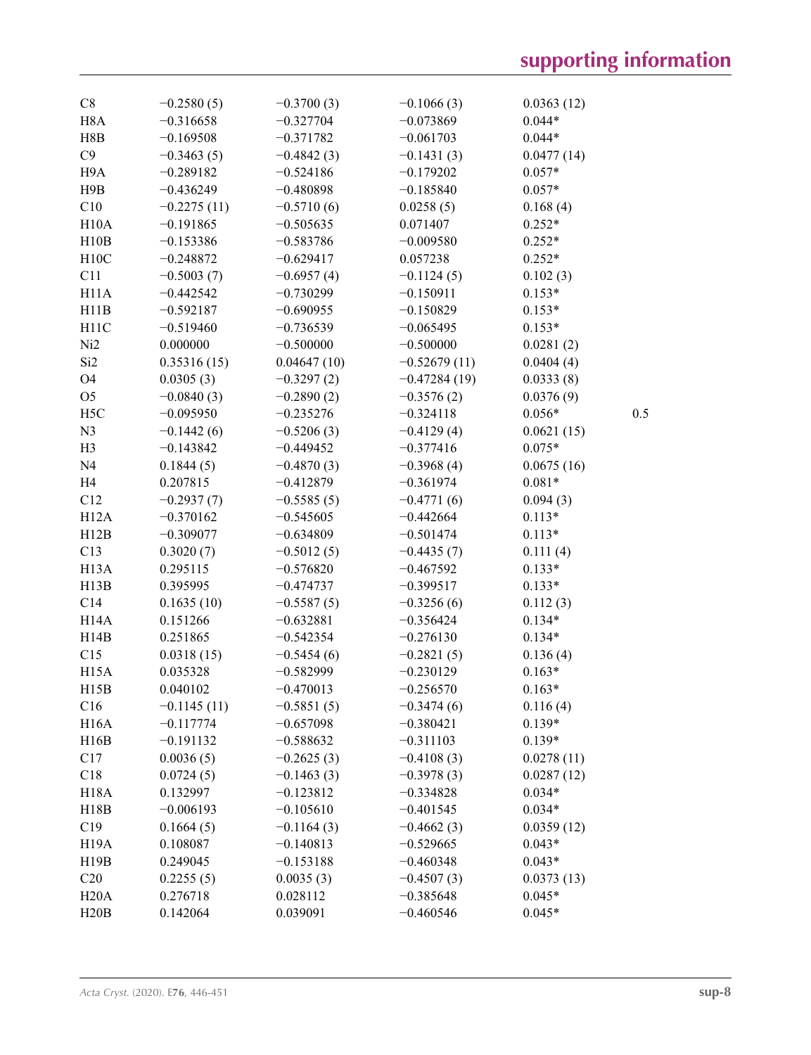| C8                | $-0.2580(5)$  | $-0.3700(3)$ | $-0.1066(3)$   | 0.0363(12) |     |
|-------------------|---------------|--------------|----------------|------------|-----|
| H <sub>8</sub> A  | $-0.316658$   | $-0.327704$  | $-0.073869$    | $0.044*$   |     |
| H8B               | $-0.169508$   | $-0.371782$  | $-0.061703$    | $0.044*$   |     |
| C9                | $-0.3463(5)$  | $-0.4842(3)$ | $-0.1431(3)$   | 0.0477(14) |     |
| H9A               | $-0.289182$   | $-0.524186$  | $-0.179202$    | $0.057*$   |     |
| H9B               | $-0.436249$   | $-0.480898$  | $-0.185840$    | $0.057*$   |     |
| C10               | $-0.2275(11)$ | $-0.5710(6)$ | 0.0258(5)      | 0.168(4)   |     |
| H10A              | $-0.191865$   | $-0.505635$  | 0.071407       | $0.252*$   |     |
| H10B              | $-0.153386$   | $-0.583786$  | $-0.009580$    | $0.252*$   |     |
| H10C              | $-0.248872$   | $-0.629417$  | 0.057238       | $0.252*$   |     |
| C11               | $-0.5003(7)$  | $-0.6957(4)$ | $-0.1124(5)$   | 0.102(3)   |     |
| H <sub>11</sub> A | $-0.442542$   | $-0.730299$  | $-0.150911$    | $0.153*$   |     |
| H11B              | $-0.592187$   | $-0.690955$  | $-0.150829$    | $0.153*$   |     |
| H11C              | $-0.519460$   | $-0.736539$  | $-0.065495$    | $0.153*$   |     |
| Ni <sub>2</sub>   | 0.000000      | $-0.500000$  | $-0.500000$    | 0.0281(2)  |     |
| Si <sub>2</sub>   | 0.35316(15)   | 0.04647(10)  | $-0.52679(11)$ | 0.0404(4)  |     |
| O <sub>4</sub>    | 0.0305(3)     | $-0.3297(2)$ | $-0.47284(19)$ | 0.0333(8)  |     |
| O <sub>5</sub>    | $-0.0840(3)$  | $-0.2890(2)$ | $-0.3576(2)$   | 0.0376(9)  |     |
| H <sub>5</sub> C  | $-0.095950$   | $-0.235276$  | $-0.324118$    | $0.056*$   | 0.5 |
| N <sub>3</sub>    | $-0.1442(6)$  | $-0.5206(3)$ | $-0.4129(4)$   | 0.0621(15) |     |
| H <sub>3</sub>    | $-0.143842$   | $-0.449452$  | $-0.377416$    | $0.075*$   |     |
| N <sub>4</sub>    | 0.1844(5)     | $-0.4870(3)$ | $-0.3968(4)$   | 0.0675(16) |     |
| H <sub>4</sub>    | 0.207815      | $-0.412879$  | $-0.361974$    | $0.081*$   |     |
| C12               | $-0.2937(7)$  | $-0.5585(5)$ | $-0.4771(6)$   | 0.094(3)   |     |
| H12A              | $-0.370162$   | $-0.545605$  | $-0.442664$    | $0.113*$   |     |
| H12B              | $-0.309077$   | $-0.634809$  | $-0.501474$    | $0.113*$   |     |
| C13               | 0.3020(7)     | $-0.5012(5)$ | $-0.4435(7)$   | 0.111(4)   |     |
| H <sub>13</sub> A | 0.295115      | $-0.576820$  | $-0.467592$    | $0.133*$   |     |
| H13B              | 0.395995      | $-0.474737$  | $-0.399517$    | $0.133*$   |     |
| C14               | 0.1635(10)    | $-0.5587(5)$ | $-0.3256(6)$   | 0.112(3)   |     |
| H <sub>14</sub> A | 0.151266      | $-0.632881$  | $-0.356424$    | $0.134*$   |     |
| H14B              | 0.251865      | $-0.542354$  | $-0.276130$    | $0.134*$   |     |
| C15               | 0.0318(15)    | $-0.5454(6)$ | $-0.2821(5)$   | 0.136(4)   |     |
| H <sub>15</sub> A | 0.035328      | $-0.582999$  | $-0.230129$    | $0.163*$   |     |
| H15B              | 0.040102      | $-0.470013$  | $-0.256570$    | $0.163*$   |     |
| C16               | $-0.1145(11)$ | $-0.5851(5)$ | $-0.3474(6)$   | 0.116(4)   |     |
| H <sub>16</sub> A | $-0.117774$   | $-0.657098$  | $-0.380421$    | $0.139*$   |     |
| H16B              | $-0.191132$   | $-0.588632$  | $-0.311103$    | $0.139*$   |     |
| C17               | 0.0036(5)     | $-0.2625(3)$ | $-0.4108(3)$   | 0.0278(11) |     |
| C18               | 0.0724(5)     | $-0.1463(3)$ | $-0.3978(3)$   | 0.0287(12) |     |
| <b>H18A</b>       | 0.132997      | $-0.123812$  | $-0.334828$    | $0.034*$   |     |
| H18B              | $-0.006193$   | $-0.105610$  | $-0.401545$    | $0.034*$   |     |
| C19               | 0.1664(5)     | $-0.1164(3)$ | $-0.4662(3)$   | 0.0359(12) |     |
| H <sub>19</sub> A | 0.108087      | $-0.140813$  | $-0.529665$    | $0.043*$   |     |
| H19B              | 0.249045      | $-0.153188$  | $-0.460348$    | $0.043*$   |     |
| C20               | 0.2255(5)     | 0.0035(3)    | $-0.4507(3)$   | 0.0373(13) |     |
| H20A              | 0.276718      | 0.028112     | $-0.385648$    | $0.045*$   |     |
| H20B              | 0.142064      | 0.039091     | $-0.460546$    | $0.045*$   |     |
|                   |               |              |                |            |     |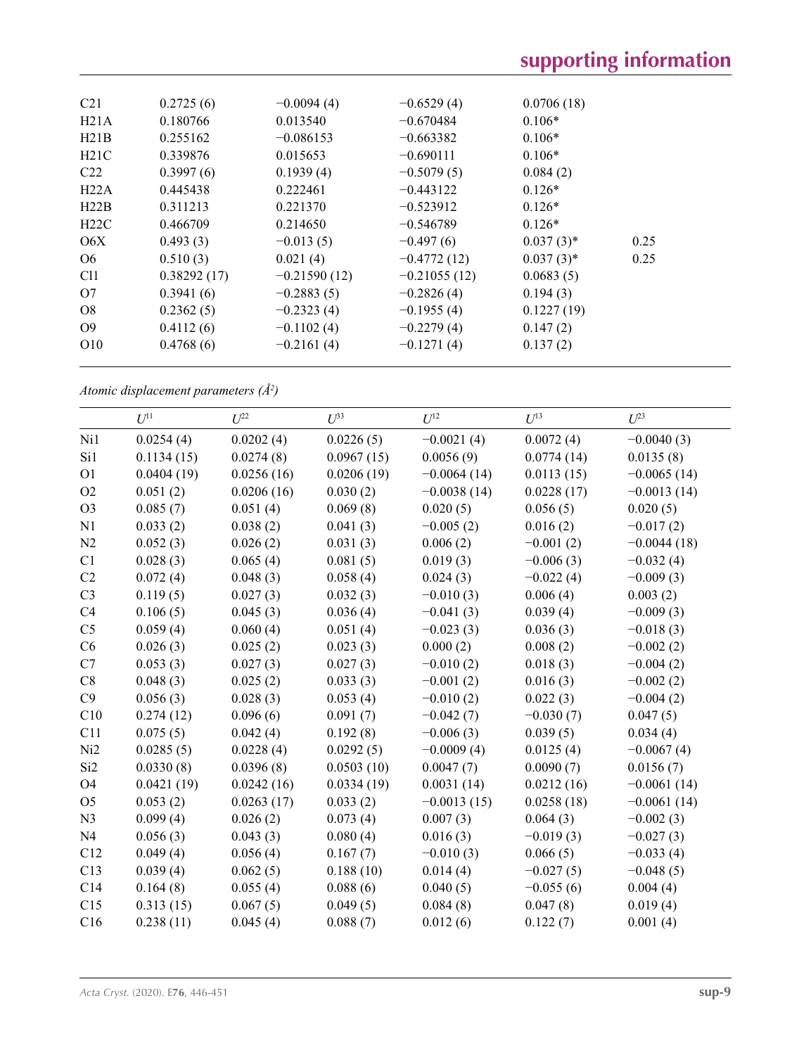| C <sub>21</sub> | 0.2725(6)   | $-0.0094(4)$   | $-0.6529(4)$   | 0.0706(18)   |      |
|-----------------|-------------|----------------|----------------|--------------|------|
| H21A            | 0.180766    | 0.013540       | $-0.670484$    | $0.106*$     |      |
| H21B            | 0.255162    | $-0.086153$    | $-0.663382$    | $0.106*$     |      |
| H21C            | 0.339876    | 0.015653       | $-0.690111$    | $0.106*$     |      |
| C22             | 0.3997(6)   | 0.1939(4)      | $-0.5079(5)$   | 0.084(2)     |      |
| H22A            | 0.445438    | 0.222461       | $-0.443122$    | $0.126*$     |      |
| H22B            | 0.311213    | 0.221370       | $-0.523912$    | $0.126*$     |      |
| H22C            | 0.466709    | 0.214650       | $-0.546789$    | $0.126*$     |      |
| O6X             | 0.493(3)    | $-0.013(5)$    | $-0.497(6)$    | $0.037(3)$ * | 0.25 |
| O <sub>6</sub>  | 0.510(3)    | 0.021(4)       | $-0.4772(12)$  | $0.037(3)$ * | 0.25 |
| C <sub>11</sub> | 0.38292(17) | $-0.21590(12)$ | $-0.21055(12)$ | 0.0683(5)    |      |
| O7              | 0.3941(6)   | $-0.2883(5)$   | $-0.2826(4)$   | 0.194(3)     |      |
| O <sub>8</sub>  | 0.2362(5)   | $-0.2323(4)$   | $-0.1955(4)$   | 0.1227(19)   |      |
| O <sub>9</sub>  | 0.4112(6)   | $-0.1102(4)$   | $-0.2279(4)$   | 0.147(2)     |      |
| O <sub>10</sub> | 0.4768(6)   | $-0.2161(4)$   | $-0.1271(4)$   | 0.137(2)     |      |
|                 |             |                |                |              |      |

*Atomic displacement parameters (Å2 )*

|                 | $U^{11}$   | $U^{22}$   | $U^{33}$   | $U^{12}$      | $U^{13}$    | $U^{23}$      |
|-----------------|------------|------------|------------|---------------|-------------|---------------|
| Ni1             | 0.0254(4)  | 0.0202(4)  | 0.0226(5)  | $-0.0021(4)$  | 0.0072(4)   | $-0.0040(3)$  |
| Si1             | 0.1134(15) | 0.0274(8)  | 0.0967(15) | 0.0056(9)     | 0.0774(14)  | 0.0135(8)     |
| O <sub>1</sub>  | 0.0404(19) | 0.0256(16) | 0.0206(19) | $-0.0064(14)$ | 0.0113(15)  | $-0.0065(14)$ |
| O2              | 0.051(2)   | 0.0206(16) | 0.030(2)   | $-0.0038(14)$ | 0.0228(17)  | $-0.0013(14)$ |
| O <sub>3</sub>  | 0.085(7)   | 0.051(4)   | 0.069(8)   | 0.020(5)      | 0.056(5)    | 0.020(5)      |
| N1              | 0.033(2)   | 0.038(2)   | 0.041(3)   | $-0.005(2)$   | 0.016(2)    | $-0.017(2)$   |
| N2              | 0.052(3)   | 0.026(2)   | 0.031(3)   | 0.006(2)      | $-0.001(2)$ | $-0.0044(18)$ |
| C1              | 0.028(3)   | 0.065(4)   | 0.081(5)   | 0.019(3)      | $-0.006(3)$ | $-0.032(4)$   |
| C2              | 0.072(4)   | 0.048(3)   | 0.058(4)   | 0.024(3)      | $-0.022(4)$ | $-0.009(3)$   |
| C <sub>3</sub>  | 0.119(5)   | 0.027(3)   | 0.032(3)   | $-0.010(3)$   | 0.006(4)    | 0.003(2)      |
| C4              | 0.106(5)   | 0.045(3)   | 0.036(4)   | $-0.041(3)$   | 0.039(4)    | $-0.009(3)$   |
| C <sub>5</sub>  | 0.059(4)   | 0.060(4)   | 0.051(4)   | $-0.023(3)$   | 0.036(3)    | $-0.018(3)$   |
| C6              | 0.026(3)   | 0.025(2)   | 0.023(3)   | 0.000(2)      | 0.008(2)    | $-0.002(2)$   |
| C7              | 0.053(3)   | 0.027(3)   | 0.027(3)   | $-0.010(2)$   | 0.018(3)    | $-0.004(2)$   |
| C8              | 0.048(3)   | 0.025(2)   | 0.033(3)   | $-0.001(2)$   | 0.016(3)    | $-0.002(2)$   |
| C9              | 0.056(3)   | 0.028(3)   | 0.053(4)   | $-0.010(2)$   | 0.022(3)    | $-0.004(2)$   |
| C10             | 0.274(12)  | 0.096(6)   | 0.091(7)   | $-0.042(7)$   | $-0.030(7)$ | 0.047(5)      |
| C11             | 0.075(5)   | 0.042(4)   | 0.192(8)   | $-0.006(3)$   | 0.039(5)    | 0.034(4)      |
| Ni <sub>2</sub> | 0.0285(5)  | 0.0228(4)  | 0.0292(5)  | $-0.0009(4)$  | 0.0125(4)   | $-0.0067(4)$  |
| Si <sub>2</sub> | 0.0330(8)  | 0.0396(8)  | 0.0503(10) | 0.0047(7)     | 0.0090(7)   | 0.0156(7)     |
| O4              | 0.0421(19) | 0.0242(16) | 0.0334(19) | 0.0031(14)    | 0.0212(16)  | $-0.0061(14)$ |
| O <sub>5</sub>  | 0.053(2)   | 0.0263(17) | 0.033(2)   | $-0.0013(15)$ | 0.0258(18)  | $-0.0061(14)$ |
| N <sub>3</sub>  | 0.099(4)   | 0.026(2)   | 0.073(4)   | 0.007(3)      | 0.064(3)    | $-0.002(3)$   |
| N <sub>4</sub>  | 0.056(3)   | 0.043(3)   | 0.080(4)   | 0.016(3)      | $-0.019(3)$ | $-0.027(3)$   |
| C12             | 0.049(4)   | 0.056(4)   | 0.167(7)   | $-0.010(3)$   | 0.066(5)    | $-0.033(4)$   |
| C13             | 0.039(4)   | 0.062(5)   | 0.188(10)  | 0.014(4)      | $-0.027(5)$ | $-0.048(5)$   |
| C14             | 0.164(8)   | 0.055(4)   | 0.088(6)   | 0.040(5)      | $-0.055(6)$ | 0.004(4)      |
| C15             | 0.313(15)  | 0.067(5)   | 0.049(5)   | 0.084(8)      | 0.047(8)    | 0.019(4)      |
| C16             | 0.238(11)  | 0.045(4)   | 0.088(7)   | 0.012(6)      | 0.122(7)    | 0.001(4)      |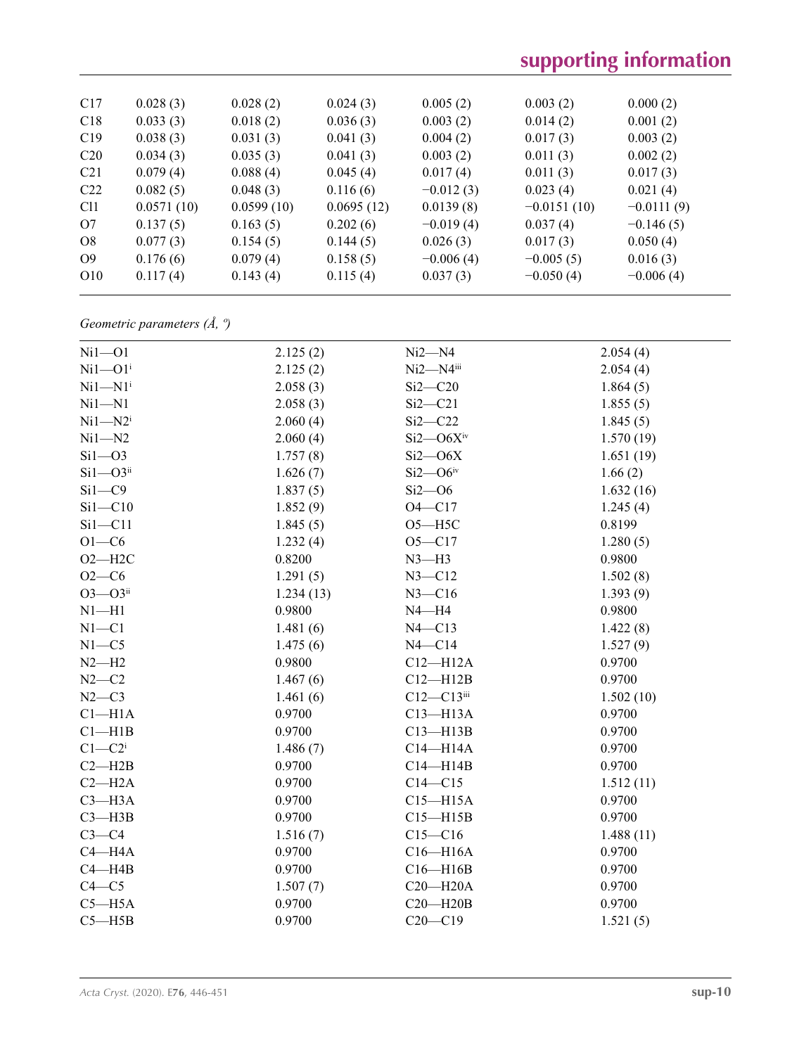| C17             | 0.028(3)   | 0.028(2)   | 0.024(3)   | 0.005(2)    | 0.003(2)      | 0.000(2)     |
|-----------------|------------|------------|------------|-------------|---------------|--------------|
| C18             | 0.033(3)   | 0.018(2)   | 0.036(3)   | 0.003(2)    | 0.014(2)      | 0.001(2)     |
| C19             | 0.038(3)   | 0.031(3)   | 0.041(3)   | 0.004(2)    | 0.017(3)      | 0.003(2)     |
| C <sub>20</sub> | 0.034(3)   | 0.035(3)   | 0.041(3)   | 0.003(2)    | 0.011(3)      | 0.002(2)     |
| C <sub>21</sub> | 0.079(4)   | 0.088(4)   | 0.045(4)   | 0.017(4)    | 0.011(3)      | 0.017(3)     |
| C <sub>22</sub> | 0.082(5)   | 0.048(3)   | 0.116(6)   | $-0.012(3)$ | 0.023(4)      | 0.021(4)     |
| C <sub>11</sub> | 0.0571(10) | 0.0599(10) | 0.0695(12) | 0.0139(8)   | $-0.0151(10)$ | $-0.0111(9)$ |
| O7              | 0.137(5)   | 0.163(5)   | 0.202(6)   | $-0.019(4)$ | 0.037(4)      | $-0.146(5)$  |
| O <sub>8</sub>  | 0.077(3)   | 0.154(5)   | 0.144(5)   | 0.026(3)    | 0.017(3)      | 0.050(4)     |
| O <sub>9</sub>  | 0.176(6)   | 0.079(4)   | 0.158(5)   | $-0.006(4)$ | $-0.005(5)$   | 0.016(3)     |
| O <sub>10</sub> | 0.117(4)   | 0.143(4)   | 0.115(4)   | 0.037(3)    | $-0.050(4)$   | $-0.006(4)$  |
|                 |            |            |            |             |               |              |

*Geometric parameters (Å, º)*

| $Ni1 - O1$               | 2.125(2)  | $Ni2 - N4$                | 2.054(4)  |
|--------------------------|-----------|---------------------------|-----------|
| $Ni1 - O1$ <sup>i</sup>  | 2.125(2)  | $Ni2 - N4$ <sup>iii</sup> | 2.054(4)  |
| $Ni1 - N1$ <sup>i</sup>  | 2.058(3)  | $Si2-C20$                 | 1.864(5)  |
| $Ni1 - N1$               | 2.058(3)  | $Si2-C21$                 | 1.855(5)  |
| $Ni1 - N2$               | 2.060(4)  | $Si2-C22$                 | 1.845(5)  |
| $Ni1 - N2$               | 2.060(4)  | $Si2$ - $O6Xiv$           | 1.570(19) |
| $Si1 - O3$               | 1.757(8)  | $Si2 - O6X$               | 1.651(19) |
| $Si1 - O3$ <sup>ii</sup> | 1.626(7)  | $Si2 - O6$ iv             | 1.66(2)   |
| $Si1 - C9$               | 1.837(5)  | $Si2 - O6$                | 1.632(16) |
| $Si1 - C10$              | 1.852(9)  | $O4 - C17$                | 1.245(4)  |
| $Si1 - C11$              | 1.845(5)  | $O5 - H5C$                | 0.8199    |
| $O1 - C6$                | 1.232(4)  | $O5 - C17$                | 1.280(5)  |
| $O2 - H2C$               | 0.8200    | $N3-H3$                   | 0.9800    |
| $O2-C6$                  | 1.291(5)  | $N3 - C12$                | 1.502(8)  |
| $O3 - O3$ <sup>ii</sup>  | 1.234(13) | $N3 - C16$                | 1.393(9)  |
| $N1 - H1$                | 0.9800    | $N4 - H4$                 | 0.9800    |
| $N1 - C1$                | 1.481(6)  | $N4 - C13$                | 1.422(8)  |
| $N1 - C5$                | 1.475(6)  | $N4 - C14$                | 1.527(9)  |
| $N2-H2$                  | 0.9800    | $C12 - H12A$              | 0.9700    |
| $N2-C2$                  | 1.467(6)  | $C12 - H12B$              | 0.9700    |
| $N2-C3$                  | 1.461(6)  | $C12-C13$ iii             | 1.502(10) |
| $Cl-H1A$                 | 0.9700    | $C13 - H13A$              | 0.9700    |
| Cl—H1B                   | 0.9700    | $C13 - H13B$              | 0.9700    |
| $C1 - C2$                | 1.486(7)  | $C14 - H14A$              | 0.9700    |
| $C2 - H2B$               | 0.9700    | $C14 - H14B$              | 0.9700    |
| $C2 - H2A$               | 0.9700    | $C14 - C15$               | 1.512(11) |
| $C3 - H3A$               | 0.9700    | $C15 - H15A$              | 0.9700    |
| $C3 - H3B$               | 0.9700    | $C15 - H15B$              | 0.9700    |
| $C3-C4$                  | 1.516(7)  | $C15 - C16$               | 1.488(11) |
| $C4 - H4A$               | 0.9700    | $C16 - H16A$              | 0.9700    |
| $C4 - H4B$               | 0.9700    | $C16 - H16B$              | 0.9700    |
| $C4 - C5$                | 1.507(7)  | $C20 - H20A$              | 0.9700    |
| $C5 - H5A$               | 0.9700    | $C20 - H20B$              | 0.9700    |
| $C5 - H5B$               | 0.9700    | $C20-C19$                 | 1.521(5)  |
|                          |           |                           |           |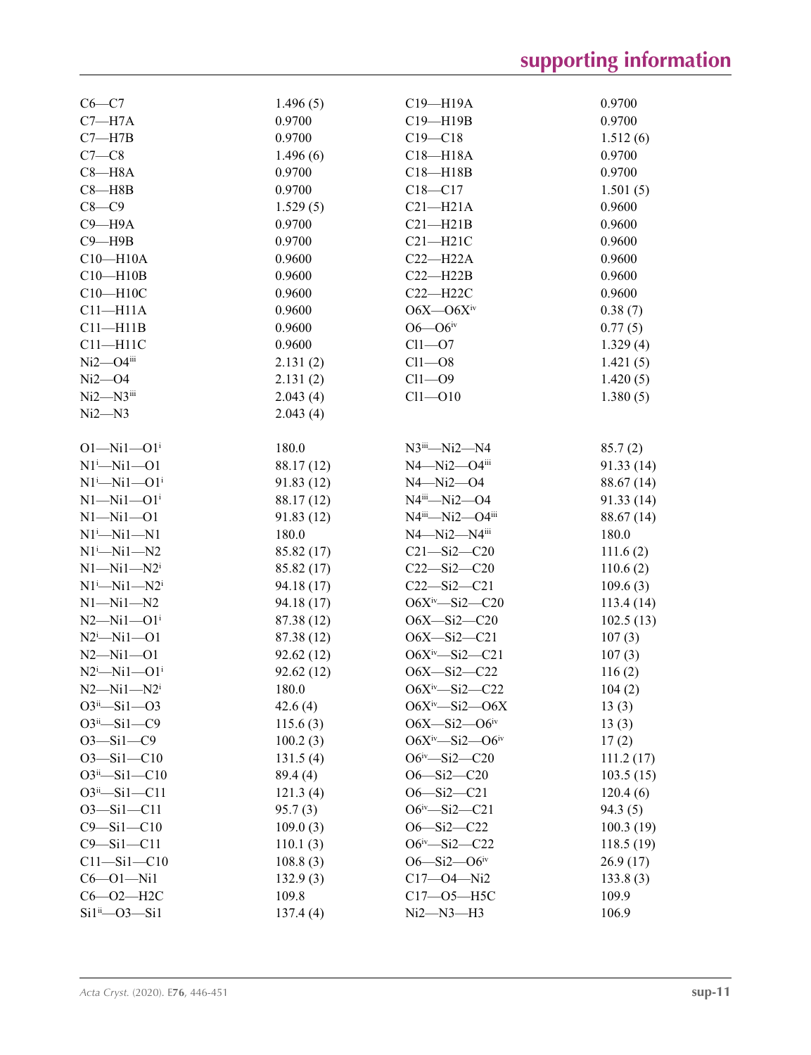| $C6 - C7$                    | 1.496(5)   | C19-H19A                           | 0.9700     |
|------------------------------|------------|------------------------------------|------------|
| $C7 - H7A$                   | 0.9700     | C19-H19B                           | 0.9700     |
| $C7 - H7B$                   | 0.9700     | $C19 - C18$                        | 1.512(6)   |
| $C7-C8$                      | 1.496(6)   | $C18 - H18A$                       | 0.9700     |
| $C8 - H8A$                   | 0.9700     | $C18 - H18B$                       | 0.9700     |
| $C8 - H8B$                   | 0.9700     | $C18 - C17$                        | 1.501(5)   |
| $C8 - C9$                    | 1.529(5)   | $C21 - H21A$                       | 0.9600     |
| $C9 - H9A$                   | 0.9700     | $C21 - H21B$                       | 0.9600     |
| $C9 - H9B$                   | 0.9700     | $C21 - H21C$                       | 0.9600     |
| $C10 - H10A$                 | 0.9600     | $C22 - H22A$                       | 0.9600     |
| $C10 - H10B$                 | 0.9600     | $C22 - H22B$                       | 0.9600     |
| $C10 - H10C$                 | 0.9600     | $C22 - H22C$                       | 0.9600     |
| $C11 - H11A$                 | 0.9600     | $O6X - O6Xiv$                      | 0.38(7)    |
| $C11 - H11B$                 | 0.9600     | $O6 - O6$ iv                       | 0.77(5)    |
| $C11 - H11C$                 | 0.9600     | $Cl1 - O7$                         | 1.329(4)   |
| $Ni2 - O4$ iii               | 2.131(2)   | $Cl1 - O8$                         | 1.421(5)   |
| $Ni2 - O4$                   | 2.131(2)   | $Cl1 - O9$                         | 1.420(5)   |
| $Ni2 - N3$ <sup>iii</sup>    | 2.043(4)   | $Cl1 - O10$                        | 1.380(5)   |
| $Ni2 - N3$                   | 2.043(4)   |                                    |            |
|                              |            |                                    |            |
| $O1 - Ni1 - O1i$             | 180.0      | $N3$ <sup>iii</sup> — $Ni2$ — $N4$ | 85.7(2)    |
| $N1^i$ -Ni1--01              | 88.17 (12) | $N4 - Ni2 - O4$ <sup>iii</sup>     | 91.33 (14) |
| $N1^i$ — $Ni1$ — $O1^i$      | 91.83(12)  | $N4 - Ni2 - O4$                    | 88.67 (14) |
| $N1 - N11 - O1$ <sup>i</sup> | 88.17 (12) | $N4^{iii} - Ni2 - O4$              | 91.33 (14) |
| $N1 - N11 - 01$              | 91.83(12)  | $N4^{iii}$ — $Ni2$ — $O4^{iii}$    | 88.67 (14) |
| $N1^i$ — $Ni1$ — $N1$        | 180.0      | $N4 - Ni2 - N4$ <sup>iii</sup>     | 180.0      |
| $N1^i$ -Ni1-N2               | 85.82 (17) | $C21 - Si2 - C20$                  | 111.6(2)   |
| $N1 - N11 - N2$              | 85.82 (17) | $C22 - Si2 - C20$                  | 110.6(2)   |
| $N1^i$ — $Ni1$ — $N2^i$      | 94.18 (17) | $C22 - Si2 - C21$                  | 109.6(3)   |
| $N1 - N11 - N2$              | 94.18 (17) | $O6X^{iv} - Si2 - C20$             | 113.4(14)  |
| $N2 - Ni1 - O1$ <sup>i</sup> | 87.38 (12) | $O6X - Si2 - C20$                  | 102.5(13)  |
| $N2^i$ -Ni1--01              | 87.38 (12) | $O6X - Si2 - C21$                  | 107(3)     |
| $N2 - Ni1 - 01$              | 92.62(12)  | $O6X^{\text{iv}} - Si2 - C21$      | 107(3)     |
| $N2^i$ -Nil-Ol <sup>i</sup>  | 92.62(12)  | $O6X - Si2 - C22$                  | 116(2)     |
| $N2 - N11 - N2$              | 180.0      | $O6X^iv$ —Si2—C22                  | 104(2)     |
| $O3^{ii} - Si1 - O3$         | 42.6(4)    | $O6X^{iv} - Si2 - O6X$             | 13(3)      |
| $O3ii - Si1 - C9$            | 115.6(3)   | $O6X - Si2 - O6$ iv                | 13(3)      |
| $O3 - Si1 - C9$              | 100.2(3)   | $O6X^{iv} - Si2 - O6^{iv}$         | 17(2)      |
| $O3 - Si1 - C10$             | 131.5(4)   | $O6^{\text{iv}} - Si2 - C20$       | 111.2(17)  |
| $O3^{ii} - Si1 - C10$        | 89.4 (4)   | $O6 - Si2 - C20$                   | 103.5(15)  |
| $O3^{ii} - Si1 - C11$        | 121.3(4)   | $O6 - Si2 - C21$                   | 120.4(6)   |
| $O3 - Si1 - C11$             | 95.7(3)    | $O6^{\text{iv}} - Si2 - C21$       | 94.3(5)    |
| $C9 - Si1 - C10$             | 109.0(3)   | $O6 - Si2 - C22$                   | 100.3(19)  |
| $C9 - Si1 - C11$             | 110.1(3)   | $O6^{iv} - Si2 - C22$              | 118.5(19)  |
| $C11 - Si1 - C10$            | 108.8(3)   | $O6 - Si2 - O6$ <sup>iv</sup>      | 26.9(17)   |
| $C6 - O1 - Ni1$              | 132.9(3)   | $C17 - 04 - Ni2$                   | 133.8(3)   |
| $C6 - O2 - H2C$              | 109.8      | $C17 - 05 - H5C$                   | 109.9      |
| $Si1^{ii}$ - $O3$ - $Si1$    | 137.4(4)   | Ni2–N3–H3                          | 106.9      |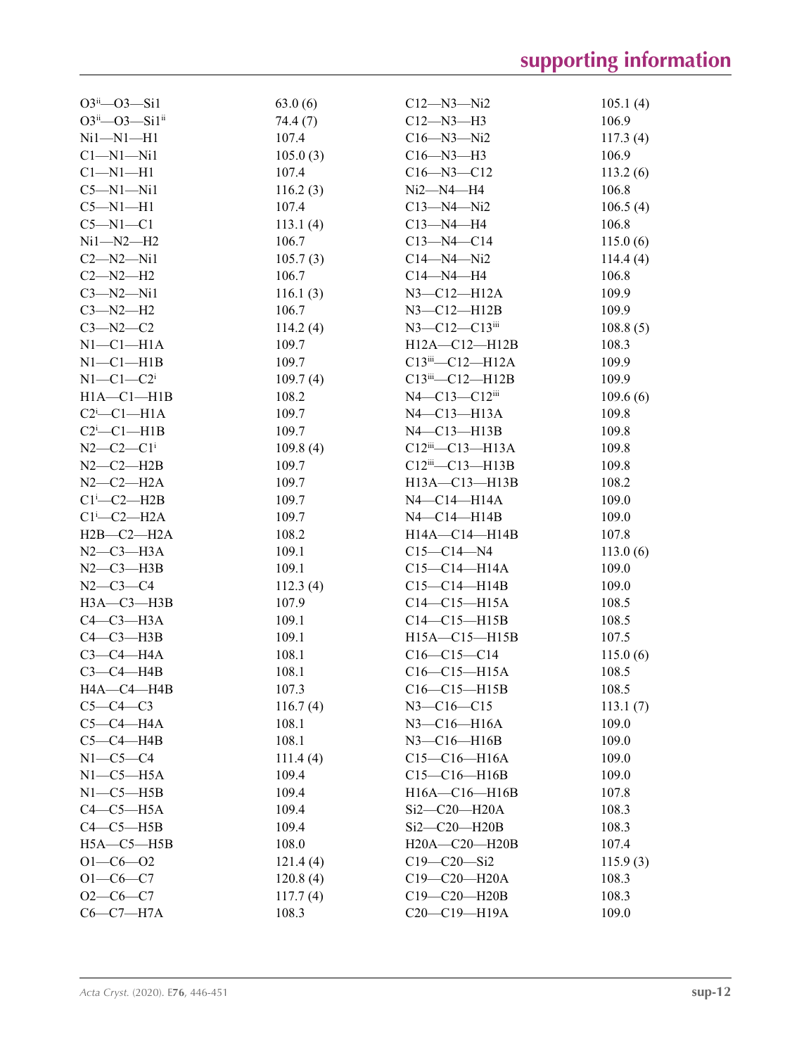| $O3^{ii} - O3 - Si1$          | 63.0(6)  | $C12 - N3 - N2$                    | 105.1(4) |
|-------------------------------|----------|------------------------------------|----------|
| O3ii-O3-Si1ii                 | 74.4 (7) | $C12 - N3 - H3$                    | 106.9    |
| $Ni1 - N1 - H1$               | 107.4    | $C16 - N3 - N2$                    | 117.3(4) |
| $Cl-M1-Ni1$                   | 105.0(3) | $C16 - N3 - H3$                    | 106.9    |
| $Cl-M1-H1$                    | 107.4    | $C16 - N3 - C12$                   | 113.2(6) |
| $C5-M1-Ni1$                   | 116.2(3) | $Ni2 - N4 - H4$                    | 106.8    |
| $C5-M1-H1$                    | 107.4    | C13—N4—Ni2                         | 106.5(4) |
| $C5-M1-C1$                    | 113.1(4) | $C13 - N4 - H4$                    | 106.8    |
| $Ni1 - N2 - H2$               | 106.7    | $C13 - N4 - C14$                   | 115.0(6) |
| $C2 - N2 - N11$               | 105.7(3) | $C14 - N4 - N12$                   | 114.4(4) |
| $C2-M2-H2$                    | 106.7    | $C14 - N4 - H4$                    | 106.8    |
| $C3 - N2 - N11$               | 116.1(3) | $N3$ — $C12$ — $H12A$              | 109.9    |
| $C3 - N2 - H2$                | 106.7    | $N3$ — $C12$ — $H12B$              | 109.9    |
| $C3 - N2 - C2$                | 114.2(4) | $N3 - C12 - C13$ <sup>iii</sup>    | 108.8(5) |
| $N1-C1-H1A$                   | 109.7    | $H12A - C12 - H12B$                | 108.3    |
| $N1-C1-H1B$                   | 109.7    | $C13$ <sup>iii</sup> — $C12$ —H12A | 109.9    |
| $N1-C1-C2$ <sup>i</sup>       | 109.7(4) | $C13$ <sup>iii</sup> — $C12$ —H12B | 109.9    |
| $H1A - C1 - H1B$              | 108.2    | N4-C13-C12iii                      | 109.6(6) |
| $C2$ <sup>i</sup> - $C1$ -H1A | 109.7    | N4-C13-H13A                        | 109.8    |
| $C2$ <sup>i</sup> - $C1$ -H1B | 109.7    | $N4$ — $C13$ — $H13B$              | 109.8    |
| $N2 - C2 - C1$                | 109.8(4) | $C12$ <sup>iii</sup> — $C13$ —H13A | 109.8    |
| $N2-C2-H2B$                   | 109.7    | $C12$ <sup>iii</sup> — $C13$ —H13B | 109.8    |
| $N2-C2-H2A$                   | 109.7    | $H13A - C13 - H13B$                | 108.2    |
| $Cl^i$ -C2-H2B                | 109.7    | N4-C14-H14A                        | 109.0    |
| $Cl^i$ -C2-H2A                | 109.7    | $N4 - C14 - H14B$                  | 109.0    |
| $H2B-C2-H2A$                  | 108.2    | H14A-C14-H14B                      | 107.8    |
| $N2-C3-H3A$                   | 109.1    | $C15 - C14 - N4$                   | 113.0(6) |
| $N2-C3-H3B$                   | 109.1    |                                    | 109.0    |
|                               |          | C15—C14—H14A                       |          |
| $N2-C3-C4$                    | 112.3(4) | $C15-C14-H14B$                     | 109.0    |
| $H3A - C3 - H3B$              | 107.9    | $C14 - C15 - H15A$                 | 108.5    |
| $C4-C3-H3A$                   | 109.1    | $C14-C15-H15B$                     | 108.5    |
| $C4-C3-H3B$                   | 109.1    | H15A-C15-H15B                      | 107.5    |
| $C3-C4-H4A$                   | 108.1    | $C16 - C15 - C14$                  | 115.0(6) |
| $C3-C4-HAB$                   | 108.1    | $C16-C15-H15A$                     | 108.5    |
| HA—C4—H4B                     | 107.3    | $C16-C15-H15B$                     | 108.5    |
| $C5-C4-C3$                    | 116.7(4) | $N3 - C16 - C15$                   | 113.1(7) |
| $C5-C4-H4A$                   | 108.1    | N3-C16-H16A                        | 109.0    |
| $C5-C4-HAB$                   | 108.1    | $N3-C16-H16B$                      | 109.0    |
| $N1-C5-C4$                    | 111.4(4) | $C15-C16-H16A$                     | 109.0    |
| $N1-C5-H5A$                   | 109.4    | $C15-C16-H16B$                     | 109.0    |
| $N1-C5-H5B$                   | 109.4    | H16A-C16-H16B                      | 107.8    |
| $C4-C5-H5A$                   | 109.4    | Si2-C20-H20A                       | 108.3    |
| $C4-C5-H5B$                   | 109.4    | Si2-C20-H20B                       | 108.3    |
| $H5A - C5 - H5B$              | 108.0    | H20A-C20-H20B                      | 107.4    |
| $O1 - C6 - O2$                | 121.4(4) | $C19 - C20 - Si2$                  | 115.9(3) |
| $O1-C6-C7$                    | 120.8(4) | $C19 - C20 - H20A$                 | 108.3    |
| $O2-C6-C7$                    | 117.7(4) | C19-C20-H20B                       | 108.3    |
| $C6-C7-H7A$                   | 108.3    | C20-C19-H19A                       | 109.0    |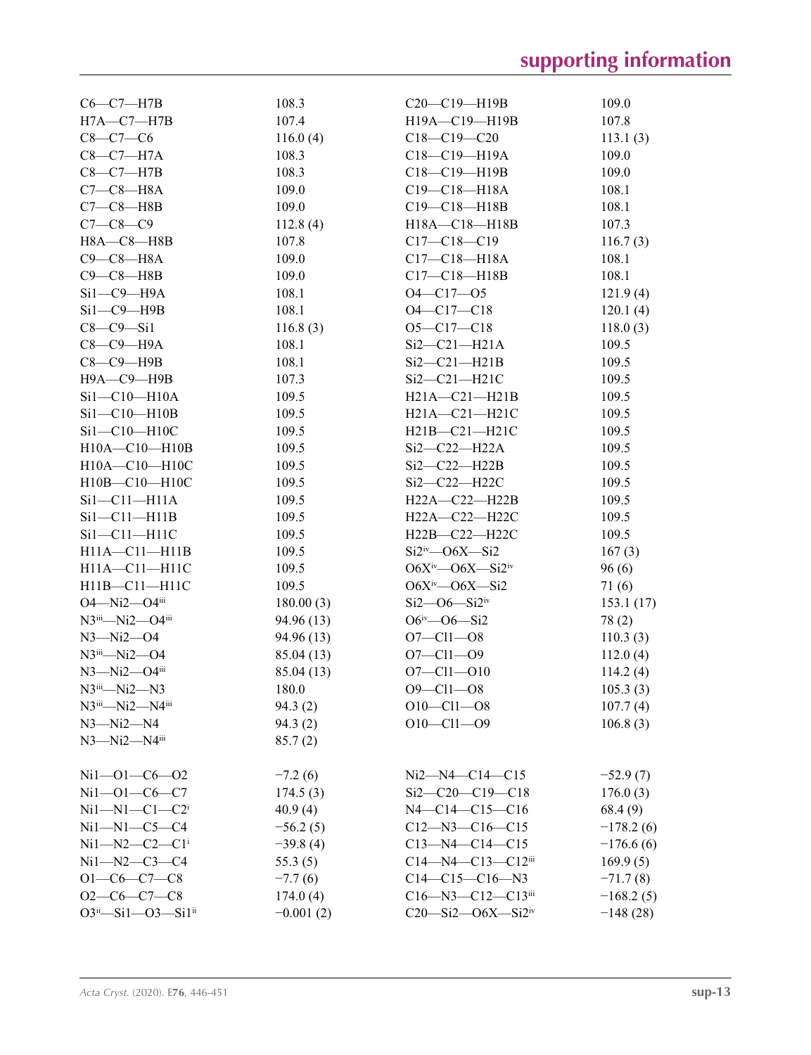| $C6-C7-H7B$                                | 108.3       | $C20-C19-H19B$                        | 109.0       |
|--------------------------------------------|-------------|---------------------------------------|-------------|
| $H7A$ — $C7$ — $H7B$                       | 107.4       | H19A-C19-H19B                         | 107.8       |
| $C8 - C7 - C6$                             | 116.0(4)    | $C18 - C19 - C20$                     | 113.1(3)    |
| $C8-C7-H7A$                                | 108.3       | C18-C19-H19A                          | 109.0       |
| $C8-C7-H7B$                                | 108.3       | C18-C19-H19B                          | 109.0       |
| $C7-C8-H8A$                                | 109.0       | $C19 - C18 - H18A$                    | 108.1       |
| $C7-C8$ —H8B                               | 109.0       | $C19 - C18 - H18B$                    | 108.1       |
| $C7 - C8 - C9$                             | 112.8(4)    | H18A-C18-H18B                         | 107.3       |
| $H8A - C8 - H8B$                           | 107.8       | $C17 - C18 - C19$                     | 116.7(3)    |
| $C9-C8-H8A$                                | 109.0       | $C17 - C18 - H18A$                    | 108.1       |
| $C9 - C8 - H8B$                            | 109.0       | $C17 - C18 - H18B$                    | 108.1       |
| $Si1-C9-H9A$                               | 108.1       | $O4 - C17 - O5$                       | 121.9(4)    |
| $Si1-C9-H9B$                               | 108.1       | $O4 - C17 - C18$                      | 120.1(4)    |
| $C8-C9-Si1$                                | 116.8(3)    | $O5 - C17 - C18$                      | 118.0(3)    |
| $C8-C9-H9A$                                | 108.1       | $Si2-C21-H21A$                        | 109.5       |
| $C8-C9-$ H9B                               | 108.1       | $Si2-C21-H21B$                        | 109.5       |
|                                            |             |                                       |             |
| Н9А-С9-Н9В                                 | 107.3       | $Si2-C21-H21C$                        | 109.5       |
| $Si1-C10-H10A$                             | 109.5       | $H21A - C21 - H21B$                   | 109.5       |
| $Si1-C10-H10B$                             | 109.5       | $H21A - C21 - H21C$                   | 109.5       |
| Si1-C10-H10C                               | 109.5       | $H21B - C21 - H21C$                   | 109.5       |
| $H10A - C10 - H10B$                        | 109.5       | $Si2-C22-H22A$                        | 109.5       |
| H10A-C10-H10C                              | 109.5       | $Si2-C22-H22B$                        | 109.5       |
| H10B-C10-H10C                              | 109.5       | Si2-C22-H22C                          | 109.5       |
| $Si1-C11-H11A$                             | 109.5       | $H22A - C22 - H22B$                   | 109.5       |
| $Si1-C11-H11B$                             | 109.5       | H22A-C22-H22C                         | 109.5       |
| $Si1-C11-H11C$                             | 109.5       | $H22B-C22-H22C$                       | 109.5       |
| $H11A - C11 - H11B$                        | 109.5       | $Si2^{iv}$ - O6X - Si2                | 167(3)      |
| H11A-C11-H11C                              | 109.5       | $O6X^{iv}$ - $O6X$ - $Si2^{iv}$       | 96(6)       |
| H11B-C11-H11C                              | 109.5       | $O6X^{iv}$ — $O6X$ —Si2               | 71(6)       |
| $O4 - Ni2 - O4iii$                         | 180.00(3)   | $Si2$ - $O6$ - $Si2iv$                | 153.1(17)   |
| $N3^{iii} - Ni2 - O4^{iii}$                | 94.96 (13)  | $O6^{iv}$ — $O6$ —Si2                 | 78(2)       |
| N3-Ni2-O4                                  | 94.96 (13)  | $O7 - Cl1 - O8$                       | 110.3(3)    |
| $N3$ <sup>iii</sup> — $Ni2$ — $O4$         | 85.04(13)   | $O7 - Cl1 - O9$                       | 112.0(4)    |
| $N3 - Ni2 - O4iii$                         | 85.04 (13)  | $O7 - Cl1 - O10$                      | 114.2(4)    |
| $N3$ <sup>iii</sup> — $Ni2$ — $N3$         | 180.0       | $O9 - Cl1 - O8$                       | 105.3(3)    |
| $N3$ <sup>iii</sup> —Ni2—N4 <sup>iii</sup> | 94.3(2)     | $O10$ — $Cl1$ — $O8$                  | 107.7(4)    |
| $N3 - Ni2 - N4$                            | 94.3(2)     | $O10 - Cl1 - O9$                      | 106.8(3)    |
| $N3 - Ni2 - N4$ <sup>iii</sup>             | 85.7(2)     |                                       |             |
|                                            |             |                                       |             |
| $Ni1 - O1 - C6 - O2$                       | $-7.2(6)$   | $Ni2 - N4 - C14 - C15$                | $-52.9(7)$  |
| $Ni1 - O1 - CO - C7$                       | 174.5(3)    | $Si2-C20-C19-C18$                     | 176.0(3)    |
| $Ni1 - N1 - C1 - C2$ <sup>i</sup>          | 40.9(4)     | $N4 - C14 - C15 - C16$                | 68.4 (9)    |
| $Ni1 - N1 - C5 - C4$                       | $-56.2(5)$  | $C12 - N3 - C16 - C15$                | $-178.2(6)$ |
| $Ni1 - N2 - C2 - C1$                       | $-39.8(4)$  | $C13 - N4 - C14 - C15$                | $-176.6(6)$ |
| $Ni1 - N2 - C3 - C4$                       | 55.3(5)     | $C14 - N4 - C13 - C12$ iii            | 169.9(5)    |
| $O1-C6-C7-C8$                              | $-7.7(6)$   | $C14-C15-C16-N3$                      | $-71.7(8)$  |
| $O2-C6-C7-C8$                              |             |                                       |             |
|                                            | 174.0(4)    | $C16 - N3 - C12 - C13$                | $-168.2(5)$ |
| $O3^{ii} - Si1 - O3 - Si1^{ii}$            | $-0.001(2)$ | $C20 - Si2 - O6X - Si2$ <sup>iv</sup> | $-148(28)$  |